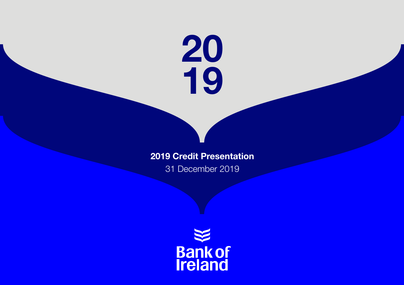

### 2019 Credit Presentation

31 December 2019

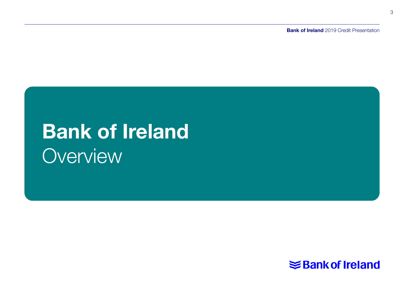**Bank of Ireland** 2019 Credit Presentation

# Bank of Ireland **Overview**

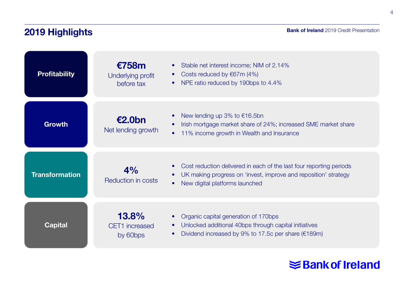# 2019 Highlights

| <b>Profitability</b>  | €758m<br>Underlying profit<br>before tax | Stable net interest income; NIM of 2.14%<br>٠<br>Costs reduced by €67m (4%)<br>$\bullet$<br>NPE ratio reduced by 190bps to 4.4%<br>٠                                                  |
|-----------------------|------------------------------------------|---------------------------------------------------------------------------------------------------------------------------------------------------------------------------------------|
| <b>Growth</b>         | €2.0bn<br>Net lending growth             | New lending up 3% to $€16.5$ bn<br>Irish mortgage market share of 24%; increased SME market share<br>11% income growth in Wealth and Insurance<br>$\bullet$                           |
| <b>Transformation</b> | 4%<br><b>Reduction in costs</b>          | Cost reduction delivered in each of the last four reporting periods<br>$\bullet$<br>UK making progress on 'invest, improve and reposition' strategy<br>New digital platforms launched |
| <b>Capital</b>        | 13.8%<br>CET1 increased<br>by 60bps      | Organic capital generation of 170bps<br>Unlocked additional 40bps through capital initiatives<br>Dividend increased by 9% to 17.5c per share ( $€189m$ )<br>٠                         |

# **Shank of Ireland**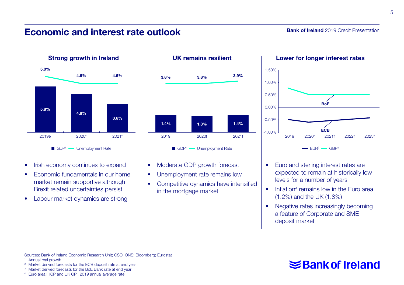### Economic and interest rate outlook

Bank of Ireland 2019 Credit Presentation



- Irish economy continues to expand
- Economic fundamentals in our home market remain supportive although Brexit related uncertainties persist
- Labour market dynamics are strong



- Moderate GDP growth forecast
- Unemployment rate remains low
- Competitive dynamics have intensified in the mortgage market



- Euro and sterling interest rates are expected to remain at historically low levels for a number of years
- $\bullet$  Inflation<sup>4</sup> remains low in the Euro area (1.2%) and the UK (1.8%)
- Negative rates increasingly becoming a feature of Corporate and SME deposit market

### Sources: Bank of Ireland Economic Research Unit; CSO; ONS; Bloomberg; Eurostat 1 Annual real growth

- 
- <sup>2</sup> Market derived forecasts for the ECB deposit rate at end year  $\frac{3}{4}$  Market derived forecasts for the BoE Bank rate at end year  $\frac{4}{4}$  Euro area HICP and UK CPI, 2019 annual average rate
- 
-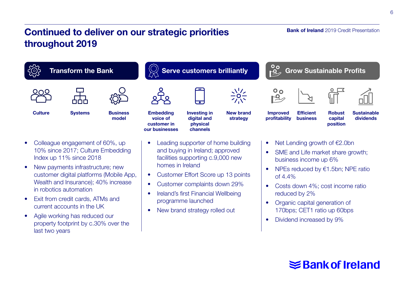## Continued to deliver on our strategic priorities throughout 2019

# Transform the Bank  $\mathbb{S}^3$  Serve customers brilliantly  $\mathbb{R}^3$  Grow Sustainable Profits  $\frac{1}{2}$   $\frac{1}{2}$   $\frac{1}{2}$   $\frac{1}{2}$   $\frac{1}{2}$   $\frac{1}{2}$   $\frac{1}{2}$   $\frac{1}{2}$   $\frac{1}{2}$   $\frac{1}{2}$   $\frac{1}{2}$   $\frac{1}{2}$   $\frac{1}{2}$   $\frac{1}{2}$   $\frac{1}{2}$   $\frac{1}{2}$   $\frac{1}{2}$   $\frac{1}{2}$   $\frac{1}{2}$   $\frac{1}{2}$   $\frac{1}{2}$   $\frac{1}{2}$   $\circ$   $\circ$

voice of customer in our businesses

• Colleague engagement of 60%, up 10% since 2017; Culture Embedding Index up 11% since 2018

*දි*විදි

Culture Systems Business Embedding

**Business** model

- New payments infrastructure; new customer digital platforms (Mobile App, Wealth and Insurance); 40% increase in robotics automation
- Exit from credit cards, ATMs and current accounts in the UK
- Agile working has reduced our property footprint by c.30% over the last two years

Leading supporter of home building and buying in Ireland; approved facilities supporting c.9,000 new homes in Ireland

**Investing in** digital and physical channels

New brand strategy

- Customer Effort Score up 13 points
- Customer complaints down 29%
- Ireland's first Financial Wellbeing programme launched
- New brand strategy rolled out

#### Net Lending growth of €2.0bn

**Efficient** business

- SME and Life market share growth: business income up 6%
- NPEs reduced by €1.5bn; NPE ratio of 4.4%
- Costs down 4%; cost income ratio reduced by 2%
- Organic capital generation of 170bps; CET1 ratio up 60bps
- Dividend increased by 9%

#### **Bank of Ireland** 2019 Credit Presentation



profitability





Robust capital position **Sustainable** dividends

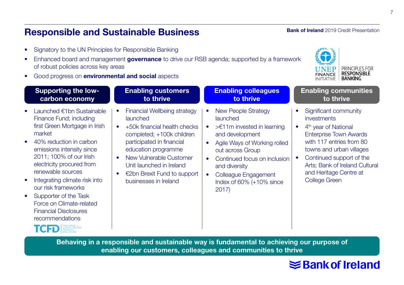### Responsible and Sustainable Business

- Signatory to the UN Principles for Responsible Banking
- Enhanced board and management governance to drive our RSB agenda; supported by a framework of robust policies across key areas
- Good progress on environmental and social aspects

### **Bank of Ireland** 2019 Credit Presentation



| <b>Supporting the low-</b>                                                                                                                                                                                                                                                                                                                                                                                                  | <b>Enabling customers</b>                                                                                                                                                                                                                                                                                                   | <b>Enabling colleagues</b>                                                                                                                                                                                                                                                                            | <b>Enabling communities</b>                                                                                                                                                                                                                                                |
|-----------------------------------------------------------------------------------------------------------------------------------------------------------------------------------------------------------------------------------------------------------------------------------------------------------------------------------------------------------------------------------------------------------------------------|-----------------------------------------------------------------------------------------------------------------------------------------------------------------------------------------------------------------------------------------------------------------------------------------------------------------------------|-------------------------------------------------------------------------------------------------------------------------------------------------------------------------------------------------------------------------------------------------------------------------------------------------------|----------------------------------------------------------------------------------------------------------------------------------------------------------------------------------------------------------------------------------------------------------------------------|
| carbon economy                                                                                                                                                                                                                                                                                                                                                                                                              | to thrive                                                                                                                                                                                                                                                                                                                   | to thrive                                                                                                                                                                                                                                                                                             | to thrive                                                                                                                                                                                                                                                                  |
| Launched €1bn Sustainable<br>Finance Fund; including<br>first Green Mortgage in Irish<br>market<br>40% reduction in carbon<br>$\bullet$<br>emissions intensity since<br>2011; 100% of our Irish<br>electricity procured from<br>renewable sources<br>Integrating climate risk into<br>٠<br>our risk frameworks<br>Supporter of the Task<br>٠<br>Force on Climate-related<br><b>Financial Disclosures</b><br>recommendations | <b>Financial Wellbeing strategy</b><br>$\bullet$<br>launched<br>+50k financial health checks<br>$\bullet$<br>completed; +100k children<br>participated in financial<br>education programme<br>New Vulnerable Customer<br>$\bullet$<br>Unit launched in Ireland<br>€2bn Brexit Fund to support<br>٠<br>businesses in Ireland | <b>New People Strategy</b><br>٠<br>launched<br>$\geq$ 11m invested in learning<br>۰<br>and development<br>Agile Ways of Working rolled<br>٠<br>out across Group<br>Continued focus on inclusion<br>$\bullet$<br>and diversity<br>Colleague Engagement<br>٠<br>Index of $60\%$ ( $+10\%$ since<br>2017 | Significant community<br>investments<br>4 <sup>th</sup> year of National<br><b>Enterprise Town Awards</b><br>with 117 entries from 80<br>towns and urban villages<br>Continued support of the<br>Arts; Bank of Ireland Cultural<br>and Heritage Centre at<br>College Green |

Behaving in a responsible and sustainable way is fundamental to achieving our purpose of enabling our customers, colleagues and communities to thrive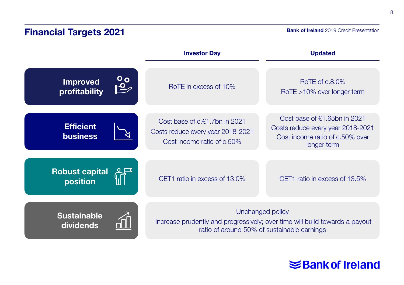# Financial Targets 2021

**Bank of Ireland** 2019 Credit Presentation

|                                     |    | <b>Investor Day</b>                                                                                                                            | <b>Updated</b>                                                                                                         |
|-------------------------------------|----|------------------------------------------------------------------------------------------------------------------------------------------------|------------------------------------------------------------------------------------------------------------------------|
| <b>Improved</b><br>profitability    | 99 | RoTE in excess of 10%                                                                                                                          | RoTE of c.8.0%<br>RoTE >10% over longer term                                                                           |
| <b>Efficient</b><br><b>business</b> |    | Cost base of c.€1.7bn in 2021<br>Costs reduce every year 2018-2021<br>Cost income ratio of c.50%                                               | Cost base of $€1.65$ bn in 2021<br>Costs reduce every year 2018-2021<br>Cost income ratio of c.50% over<br>longer term |
| <b>Robust capital</b><br>position   |    | CET1 ratio in excess of 13.0%                                                                                                                  | CET1 ratio in excess of 13.5%                                                                                          |
| <b>Sustainable</b><br>dividends     |    | Unchanged policy<br>Increase prudently and progressively; over time will build towards a payout<br>ratio of around 50% of sustainable earnings |                                                                                                                        |

# **Shank of Ireland**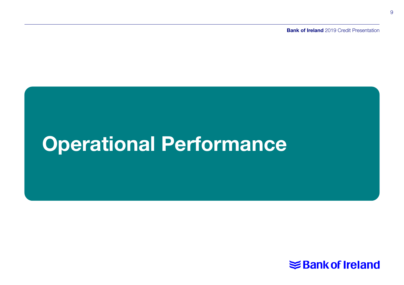**Bank of Ireland** 2019 Credit Presentation

# Operational Performance

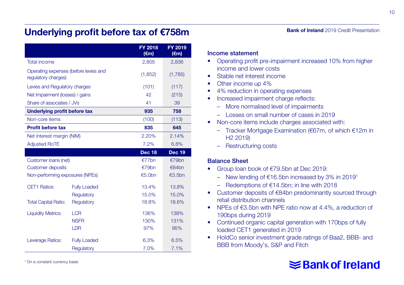### Underlying profit before tax of €758m

|                                                              |                     | FY 2018<br>$(\epsilon m)$ | FY 2019<br>$(\epsilon m)$ |
|--------------------------------------------------------------|---------------------|---------------------------|---------------------------|
| <b>Total income</b>                                          |                     | 2,805                     | 2,836                     |
| Operating expenses (before levies and<br>regulatory charges) |                     | (1,852)                   | (1,785)                   |
| Levies and Regulatory charges                                |                     | (101)                     | (117)                     |
| Net Impairment (losses) / gains                              |                     | 42                        | (215)                     |
| Share of associates / JVs                                    |                     | 41                        | 39                        |
| Underlying profit before tax                                 |                     | 935                       | 758                       |
| Non-core items                                               |                     | (100)                     | (113)                     |
| <b>Profit before tax</b>                                     |                     | 835                       | 645                       |
| Net interest margin (NIM)                                    |                     | 2.20%                     | 2.14%                     |
| <b>Adjusted RoTE</b>                                         |                     | 7.2%                      | 6.8%                      |
|                                                              |                     |                           |                           |
|                                                              |                     | Dec 18                    | <b>Dec 19</b>             |
| Customer loans (net)                                         |                     | $E77$ bn                  | €79bn                     |
| <b>Customer deposits</b>                                     |                     | €79bn                     | €84bn                     |
| Non-performing exposures (NPEs)                              |                     | €5.0bn                    | €3.5bn                    |
| <b>CET1 Ratios:</b>                                          | <b>Fully Loaded</b> | 13.4%                     | 13.8%                     |
|                                                              | Requlatory          | 15.0%                     | 15.0%                     |
| <b>Total Capital Ratio:</b>                                  | Regulatory          | 18.8%                     | 18.6%                     |
| <b>Liquidity Metrics:</b>                                    | <b>LCR</b>          | 136%                      | 138%                      |
|                                                              | <b>NSFR</b>         | 130%                      | 131%                      |
|                                                              | <b>LDR</b>          | 97%                       | 95%                       |
| Leverage Ratios:                                             | <b>Fully Loaded</b> | 6.3%                      | 6.5%                      |

**Bank of Ireland** 2019 Credit Presentation

#### Income statement

- Operating profit pre-impairment increased 10% from higher income and lower costs
- Stable net interest income
- Other income up 4%
- 4% reduction in operating expenses
- Increased impairment charge reflects:
	- More normalised level of impairments
	- Losses on small number of cases in 2019
- Non-core items include charges associated with:
	- Tracker Mortgage Examination (€67m, of which €12m in H2 2019)
	- Restructuring costs

#### Balance Sheet

- Group loan book of €79.5bn at Dec 2019:
	- New lending of €16.5bn increased by 3% in 20191
	- Redemptions of €14.5bn; in line with 2018
- Customer deposits of €84bn predominantly sourced through retail distribution channels
- NPEs of €3.5bn with NPE ratio now at 4.4%, a reduction of 190bps during 2019
- Continued organic capital generation with 170bps of fully loaded CET1 generated in 2019
- HoldCo senior investment grade ratings of Baa2, BBB- and BBB from Moody's, S&P and Fitch

# **≤Bank of Ireland**

10

1 On a constant currency basis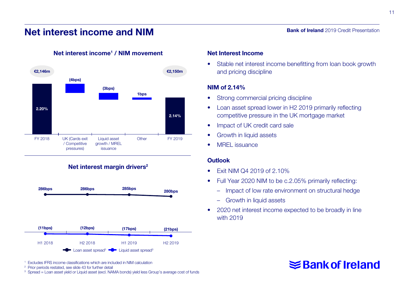### Net interest income and NIM



#### Net interest income<sup>1</sup> / NIM movement

#### Net Interest Income

• Stable net interest income benefitting from loan book growth and pricing discipline

#### NIM of 2.14%

- Strong commercial pricing discipline
- Loan asset spread lower in H2 2019 primarily reflecting competitive pressure in the UK mortgage market
- Impact of UK credit card sale
- Growth in liquid assets
- MRFL issuance

#### **Outlook**

- Fxit NIM Q4 2019 of 2.10%
- Full Year 2020 NIM to be c.2.05% primarily reflecting:
	- Impact of low rate environment on structural hedge
	- Growth in liquid assets
- 2020 net interest income expected to be broadly in line with 2019

# **≤Bank of Ireland**

Bank of Ireland 2019 Credit Presentation



Net interest margin drivers<sup>2</sup>



<sup>1</sup> Excludes IFRS income classifications which are included in NIM calculation

<sup>2</sup> Prior periods restated, see slide 43 for further detail

<sup>3</sup> Spread = Loan asset yield or Liquid asset (excl. NAMA bonds) yield less Group's average cost of funds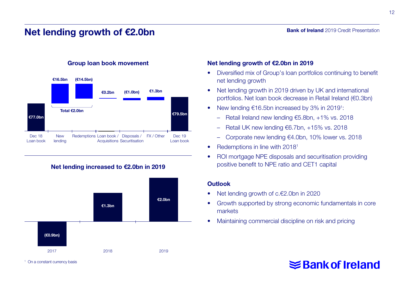### Net lending growth of €2.0bn

#### €77.0bn €79.5bn €16.5bn Total €2.0bn (€14.5bn) €0.2bn (€1.0bn) €1.3bn Dec 18 Loan book **New** lending Redemptions Loan book / Disposals / FX / Other Acquisitions Securitisation Dec 19 Loan book

Group loan book movement

Net lending increased to €2.0bn in 2019



#### Net lending growth of €2.0bn in 2019

- Diversified mix of Group's loan portfolios continuing to benefit net lending growth
- Net lending growth in 2019 driven by UK and international portfolios. Net loan book decrease in Retail Ireland (€0.3bn)
- New lending €16.5bn increased by 3% in 2019<sup>1</sup>:
	- Retail Ireland new lending €5.8bn, +1% vs. 2018
	- Retail UK new lending €6.7bn, +15% vs. 2018
	- Corporate new lending €4.0bn, 10% lower vs. 2018
- Redemptions in line with 2018<sup>1</sup>
- ROI mortgage NPE disposals and securitisation providing positive benefit to NPE ratio and CET1 capital

#### **Outlook**

- Net lending growth of c.€2.0bn in 2020
- Growth supported by strong economic fundamentals in core markets
- Maintaining commercial discipline on risk and pricing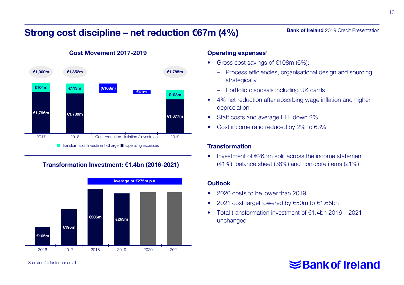### Strong cost discipline – net reduction €67m (4%)

### Operating expenses<sup>1</sup> Gross cost savings of  $€108m$  (6%):

- Process efficiencies, organisational design and sourcing strategically
- Portfolio disposals including UK cards
- 4% net reduction after absorbing wage inflation and higher depreciation
- Staff costs and average FTE down 2%
- Cost income ratio reduced by 2% to 63%

#### **Transformation**

• Investment of €263m split across the income statement (41%), balance sheet (38%) and non-core items (21%)

#### **Outlook**

- 2020 costs to be lower than 2019
- 2021 cost target lowered by €50m to €1.65bn
- Total transformation investment of €1.4bn 2016 2021 unchanged

### **Bank of Ireland** 2019 Credit Presentation



Transformation Investment: €1.4bn (2016-2021)



### Cost Movement 2017-2019

See slide 44 for further detail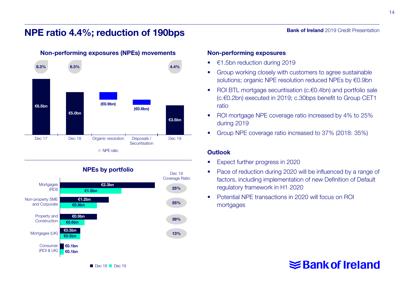### NPE ratio 4.4%; reduction of 190bps



#### Non-performing exposures (NPEs) movements



#### Non-performing exposures

- €1.5bn reduction during 2019
- Group working closely with customers to agree sustainable solutions; organic NPE resolution reduced NPEs by €0.9bn
- ROI BTL mortgage securitisation (c.€0.4bn) and portfolio sale (c.€0.2bn) executed in 2019; c.30bps benefit to Group CET1 ratio
- ROI mortgage NPE coverage ratio increased by 4% to 25% during 2019
- Group NPE coverage ratio increased to 37% (2018: 35%)

#### **Outlook**

- Expect further progress in 2020
- Pace of reduction during 2020 will be influenced by a range of factors, including implementation of new Definition of Default regulatory framework in H1 2020
- Potential NPE transactions in 2020 will focus on ROI mortgages

**Bank of Ireland** 2019 Credit Presentation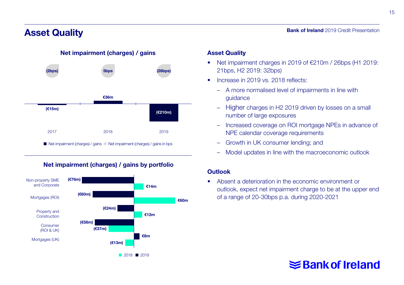### Asset Quality



Net impairment (charges) / gains

#### ■ Net impairment (charges) / gains ● Net impairment (charges) / gains in bps



#### Net impairment (charges) / gains by portfolio

#### Asset Quality

• Net impairment charges in 2019 of €210m / 26bps (H1 2019: 21bps, H2 2019: 32bps)

Bank of Ireland 2019 Credit Presentation

- Increase in 2019 vs. 2018 reflects:
	- A more normalised level of impairments in line with guidance
	- Higher charges in H2 2019 driven by losses on a small number of large exposures
	- Increased coverage on ROI mortgage NPEs in advance of NPE calendar coverage requirements
	- Growth in UK consumer lending; and
	- Model updates in line with the macroeconomic outlook

#### **Outlook**

• Absent a deterioration in the economic environment or outlook, expect net impairment charge to be at the upper end of a range of 20-30bps p.a. during 2020-2021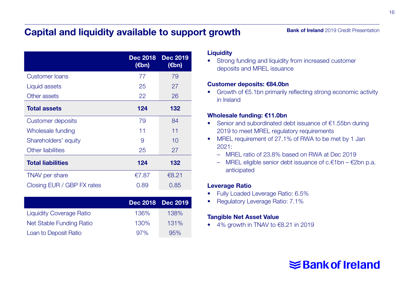### Capital and liquidity available to support growth

| <b>Bank of Ireland</b> 2019 Credit Presentation |  |  |  |
|-------------------------------------------------|--|--|--|
|-------------------------------------------------|--|--|--|

|                            | <b>Dec 2018</b><br>$(\epsilon$ bn) | <b>Dec 2019</b><br>(€bn) |
|----------------------------|------------------------------------|--------------------------|
| <b>Customer loans</b>      | 77                                 | 79                       |
| Liquid assets              | 25                                 | 27                       |
| Other assets               | 22                                 | 26                       |
| <b>Total assets</b>        | 124                                | 132                      |
| Customer deposits          | 79                                 | 84                       |
| Wholesale funding          | 11                                 | 11                       |
| Shareholders' equity       | 9                                  | 10                       |
| Other liabilities          | 25                                 | 27                       |
| <b>Total liabilities</b>   | 124                                | 132                      |
| TNAV per share             | €7.87                              | €8.21                    |
| Closing EUR / GBP FX rates | 0.89                               | 0.85                     |

|                                 |      | Dec 2018 Dec 2019 |
|---------------------------------|------|-------------------|
| <b>Liquidity Coverage Ratio</b> | 136% | 138%              |
| Net Stable Funding Ratio        | 130% | 131%              |
| Loan to Deposit Ratio           | 97%  | 95%               |

#### **Liquidity**

• Strong funding and liquidity from increased customer deposits and MREL issuance

#### Customer deposits: €84.0bn

• Growth of €5.1bn primarily reflecting strong economic activity in Ireland

#### Wholesale funding: €11.0bn

- Senior and subordinated debt issuance of €1.55bn during 2019 to meet MREL regulatory requirements
- MREL requirement of 27.1% of RWA to be met by 1 Jan 2021:
	- MREL ratio of 23.8% based on RWA at Dec 2019
	- MREL eligible senior debt issuance of c.€1bn €2bn p.a. anticipated

#### Leverage Ratio

- Fully Loaded Leverage Ratio: 6.5%
- Regulatory Leverage Ratio: 7.1%

#### Tangible Net Asset Value

 $\bullet$  4% growth in TNAV to  $\epsilon$ 8.21 in 2019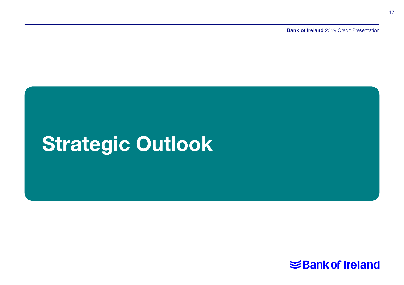**Bank of Ireland** 2019 Credit Presentation

# Strategic Outlook

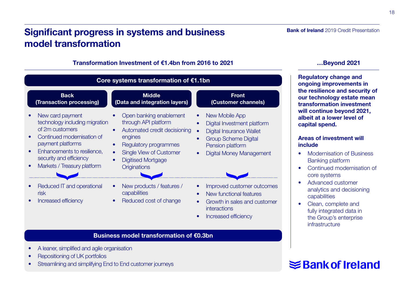## Significant progress in systems and business model transformation

#### Transformation Investment of €1.4bn from 2016 to 2021 …Beyond 2021

| Core systems transformation of €1.1bn                                                                                                                                                                                                       |                                                                                                                                                                                                                 |                                                                                                                                                                                                      |  |  |
|---------------------------------------------------------------------------------------------------------------------------------------------------------------------------------------------------------------------------------------------|-----------------------------------------------------------------------------------------------------------------------------------------------------------------------------------------------------------------|------------------------------------------------------------------------------------------------------------------------------------------------------------------------------------------------------|--|--|
| <b>Back</b><br>(Transaction processing)                                                                                                                                                                                                     | <b>Middle</b><br>(Data and integration layers)                                                                                                                                                                  | <b>Front</b><br>(Customer channels)                                                                                                                                                                  |  |  |
| New card payment<br>technology including migration<br>of 2m customers<br>Continued modernisation of<br>payment platforms<br>Enhancements to resilience.<br>$\bullet$<br>security and efficiency<br>Markets / Treasury platform<br>$\bullet$ | Open banking enablement<br>through API platform<br>Automated credit decisioning<br>engines<br>Regulatory programmes<br><b>Single View of Customer</b><br>$\bullet$<br><b>Digitised Mortgage</b><br>Originations | New Mobile App<br>٠<br>Digital Investment platform<br>$\bullet$<br>Digital Insurance Wallet<br><b>Group Scheme Digital</b><br>$\bullet$<br>Pension platform<br>Digital Money Management<br>$\bullet$ |  |  |
| Reduced IT and operational<br>risk<br>Increased efficiency                                                                                                                                                                                  | New products / features /<br>capabilities<br>Reduced cost of change                                                                                                                                             | Improved customer outcomes<br>New functional features<br>$\bullet$<br>Growth in sales and customer<br>$\bullet$<br>interactions                                                                      |  |  |

• Increased efficiency

#### Business model transformation of €0.3bn

- A leaner, simplified and agile organisation
- Repositioning of UK portfolios
- Streamlining and simplifying End to End customer journeys

Bank of Ireland 2019 Credit Presentation

Regulatory change and ongoing improvements in the resilience and security of our technology estate mean transformation investment will continue beyond 2021, albeit at a lower level of capital spend.

#### Areas of investment will include

- Modernisation of Business Banking platform
- Continued modernisation of core systems
- Advanced customer analytics and decisioning capabilities
- Clean, complete and fully integrated data in the Group's enterprise infrastructure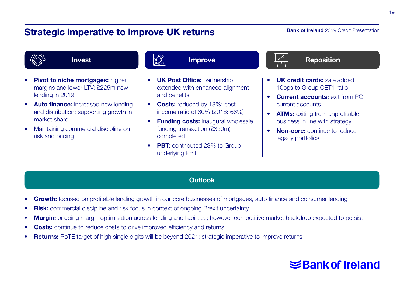### Strategic imperative to improve UK returns

#### **Bank of Ireland** 2019 Credit Presentation



- Pivot to niche mortgages: higher margins and lower LTV; £225m new lending in 2019
- Auto finance: increased new lending and distribution; supporting growth in market share
- Maintaining commercial discipline on risk and pricing

#### Improve

- **UK Post Office: partnership** extended with enhanced alignment and benefits
- Costs: reduced by 18%; cost income ratio of 60% (2018: 66%)
- Funding costs: inaugural wholesale funding transaction (£350m) completed
- PBT: contributed 23% to Group underlying PBT



- **UK credit cards:** sale added 10bps to Group CET1 ratio
- **Current accounts: exit from PO** current accounts
- **ATMs:** exiting from unprofitable business in line with strategy
- Non-core: continue to reduce legacy portfolios

#### **Outlook**

- Growth: focused on profitable lending growth in our core businesses of mortgages, auto finance and consumer lending
- **Risk:** commercial discipline and risk focus in context of ongoing Brexit uncertainty
- Margin: ongoing margin optimisation across lending and liabilities; however competitive market backdrop expected to persist
- **Costs:** continue to reduce costs to drive improved efficiency and returns
- **Returns:** RoTE target of high single digits will be beyond 2021; strategic imperative to improve returns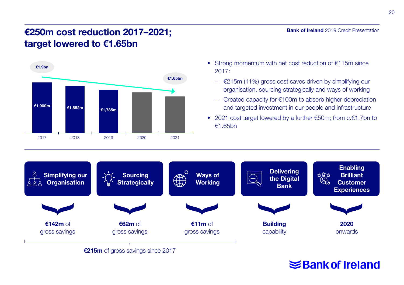### €250m cost reduction 2017–2021; target lowered to €1.65bn



- Strong momentum with net cost reduction of €115m since 2017:
	- €215m (11%) gross cost saves driven by simplifying our organisation, sourcing strategically and ways of working
	- Created capacity for €100m to absorb higher depreciation and targeted investment in our people and infrastructure
- 2021 cost target lowered by a further €50m; from c.€1.7bn to €1.65bn



€215m of gross savings since 2017

# **≤Bank of Ireland**

Bank of Ireland 2019 Credit Presentation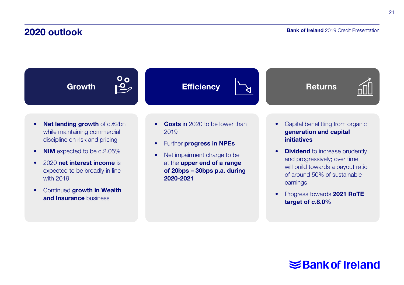### 2020 outlook

#### Bank of Ireland 2019 Credit Presentation

21

Growth PC Efficiency  $\begin{array}{ccc} 0 & 0 \\ \hline \end{array}$ 



- Net lending growth of c.€2bn while maintaining commercial discipline on risk and pricing
- NIM expected to be c.2.05%
- 2020 net interest income is expected to be broadly in line with 2019
- Continued growth in Wealth and **Insurance** business
- Costs in 2020 to be lower than 2019
- Further progress in NPEs
- Net impairment charge to be at the upper end of a range of 20bps – 30bps p.a. during 2020-2021
- Capital benefitting from organic generation and capital initiatives
- **Dividend** to increase prudently and progressively; over time will build towards a payout ratio of around 50% of sustainable earnings
- Progress towards 2021 RoTE target of c.8.0%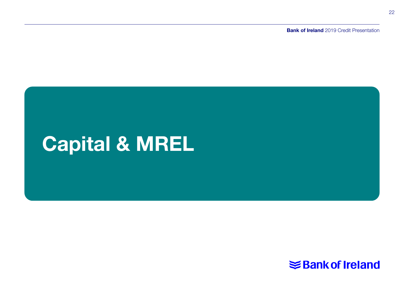**Bank of Ireland** 2019 Credit Presentation

# Capital & MREL

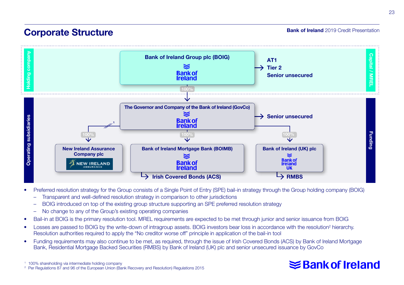### Corporate Structure

**Bank of Ireland** 2019 Credit Presentation



- Preferred resolution strategy for the Group consists of a Single Point of Entry (SPE) bail-in strategy through the Group holding company (BOIG)
	- Transparent and well-defined resolution strategy in comparison to other jurisdictions
	- BOIG introduced on top of the existing group structure supporting an SPE preferred resolution strategy
	- No change to any of the Group's existing operating companies
- Bail-in at BOIG is the primary resolution tool. MREL requirements are expected to be met through junior and senior issuance from BOIG
- Losses are passed to BOIG by the write-down of intragroup assets. BOIG investors bear loss in accordance with the resolution<sup>2</sup> hierarchy. Resolution authorities required to apply the "No creditor worse off" principle in application of the bail-in tool
- Funding requirements may also continue to be met, as required, through the issue of Irish Covered Bonds (ACS) by Bank of Ireland Mortgage Bank, Residential Mortgage Backed Securities (RMBS) by Bank of Ireland (UK) plc and senior unsecured issuance by GovCo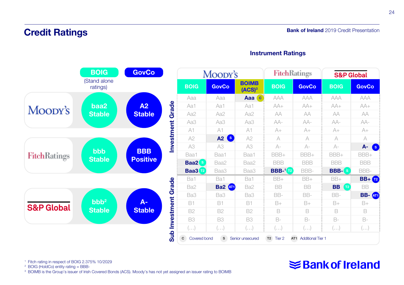### Credit Ratings



#### Instrument Ratings

<sup>1</sup> Fitch rating in respect of BOIG 2.375% 10/2029

<sup>2</sup> BOIG (HoldCo) entity rating = BBB-

<sup>3</sup> BOIMB is the Group's issuer of Irish Covered Bonds (ACS). Moody's has not yet assigned an issuer rating to BOIMB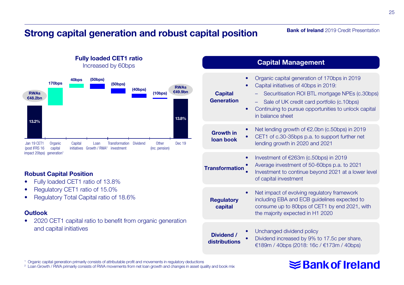### Strong capital generation and robust capital position

#### **Bank of Ireland** 2019 Credit Presentation



Fully loaded CET1 ratio Increased by 60bps

#### Robust Capital Position

- Fully loaded CET1 ratio of 13.8%
- Regulatory CET1 ratio of 15.0%
- Regulatory Total Capital ratio of 18.6%

#### **Outlook**

• 2020 CET1 capital ratio to benefit from organic generation and capital initiatives

|                                     | <b>Capital Management</b>                                                                                                                                                                                                                                         |
|-------------------------------------|-------------------------------------------------------------------------------------------------------------------------------------------------------------------------------------------------------------------------------------------------------------------|
| <b>Capital</b><br><b>Generation</b> | Organic capital generation of 170bps in 2019<br>Capital initiatives of 40bps in 2019:<br>Securitisation ROI BTL mortgage NPEs (c.30bps)<br>Sale of UK credit card portfolio (c.10bps)<br>Continuing to pursue opportunities to unlock capital<br>in balance sheet |
| <b>Growth in</b><br>loan book       | Net lending growth of $E$ 2.0bn (c.50bps) in 2019<br>CET1 of c.30-35bps p.a. to support further net<br>lending growth in 2020 and 2021                                                                                                                            |
| <b>Transformation</b>               | Investment of $E263m$ (c.50bps) in 2019<br>Average investment of 50-60bps p.a. to 2021<br>Investment to continue beyond 2021 at a lower level<br>of capital investment                                                                                            |
| <b>Regulatory</b><br>capital        | Net impact of evolving regulatory framework<br>including EBA and ECB guidelines expected to<br>consume up to 80bps of CET1 by end 2021, with<br>the majority expected in H1 2020                                                                                  |
| Dividend /<br>distributions         | Unchanged dividend policy<br>Dividend increased by 9% to 17.5c per share,<br>€189m / 40bps (2018: 16c / €173m / 40bps)                                                                                                                                            |

#### <sup>1</sup> Organic capital generation primarily consists of attributable profit and movements in regulatory deductions

<sup>2</sup> Loan Growth / RWA primarily consists of RWA movements from net loan growth and changes in asset quality and book mix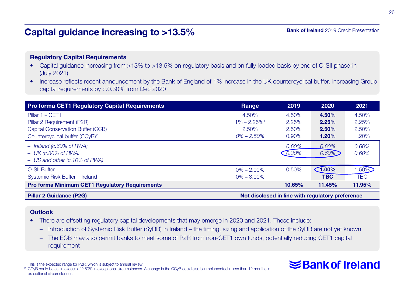### Capital guidance increasing to >13.5%

#### **Bank of Ireland** 2019 Credit Presentation

#### Regulatory Capital Requirements

- Capital guidance increasing from >13% to >13.5% on regulatory basis and on fully loaded basis by end of O-SII phase-in (July 2021)
- Increase reflects recent announcement by the Bank of England of 1% increase in the UK countercyclical buffer, increasing Group capital requirements by c.0.30% from Dec 2020

| <b>Pro forma CET1 Regulatory Capital Requirements</b> | Range                       | 2019                                             | 2020               | 2021       |
|-------------------------------------------------------|-----------------------------|--------------------------------------------------|--------------------|------------|
| Pillar 1 - CET1                                       | 4.50%                       | 4.50%                                            | 4.50%              | 4.50%      |
| Pillar 2 Requirement (P2R)                            | $1\% - 2.25\%$ <sup>1</sup> | 2.25%                                            | 2.25%              | 2.25%      |
| Capital Conservation Buffer (CCB)                     | 2.50%                       | 2.50%                                            | 2.50%              | 2.50%      |
| Countercyclical buffer (CCyB) <sup>2</sup>            | $0\% - 2.50\%$              | 0.90%                                            | 1.20%              | 1.20%      |
| $-$ Ireland (c.60% of RWA)                            |                             | 0.60%                                            | 0.60%              | 0.60%      |
| $-$ UK (c.30% of RWA)                                 |                             | $-0.30\%$                                        | $0.60\%$           | 0.60%      |
| - US and other (c.10% of RWA)                         |                             |                                                  |                    |            |
| O-SII Buffer                                          | $0\% - 2.00\%$              | 0.50%                                            | $\bigcap_{1.00\%}$ | 1.50%      |
| Systemic Risk Buffer - Ireland                        | $0\% - 3.00\%$              | -                                                | <b>TBC</b>         | <b>TBC</b> |
| <b>Pro forma Minimum CET1 Regulatory Requirements</b> |                             | 10.65%                                           | 11.45%             | 11.95%     |
| <b>Pillar 2 Guidance (P2G)</b>                        |                             | Not disclosed in line with regulatory preference |                    |            |

#### **Outlook**

- There are offsetting regulatory capital developments that may emerge in 2020 and 2021. These include:
	- Introduction of Systemic Risk Buffer (SyRB) in Ireland the timing, sizing and application of the SyRB are not yet known
	- The ECB may also permit banks to meet some of P2R from non-CET1 own funds, potentially reducing CET1 capital requirement

<sup>1</sup> This is the expected range for P2R, which is subject to annual review

<sup>2</sup> CCyB could be set in excess of 2.50% in exceptional circumstances. A change in the CCyB could also be implemented in less than 12 months in exceptional circumstances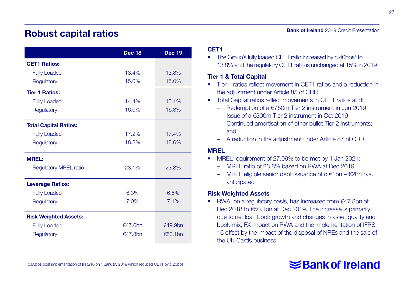### Robust capital ratios

|                              | <b>Dec 18</b> | <b>Dec 19</b> |
|------------------------------|---------------|---------------|
| <b>CET1 Ratios:</b>          |               |               |
| <b>Fully Loaded</b>          | 13.4%         | 13.8%         |
| Regulatory                   | 15.0%         | 15.0%         |
| <b>Tier 1 Ratios:</b>        |               |               |
| <b>Fully Loaded</b>          | 14.4%         | 15.1%         |
| Regulatory                   | 16.0%         | 16.3%         |
| <b>Total Capital Ratios:</b> |               |               |
| <b>Fully Loaded</b>          | 17.2%         | 17.4%         |
| Regulatory                   | 18.8%         | 18.6%         |
| <b>MREL:</b>                 |               |               |
| <b>Requlatory MREL ratio</b> | 23.1%         | 23.8%         |
| <b>Leverage Ratios:</b>      |               |               |
| <b>Fully Loaded</b>          | 6.3%          | 6.5%          |
| Regulatory                   | 7.0%          | 7.1%          |
| <b>Risk Weighted Assets:</b> |               |               |
| <b>Fully Loaded</b>          | €47.6bn       | €49.9bn       |
| Regulatory                   | €47.8bn       | €50.1bn       |

#### CET1

• The Group's fully loaded CET1 ratio increased by c.40bps<sup>1</sup> to 13.8% and the regulatory CET1 ratio is unchanged at 15% in 2019

#### Tier 1 & Total Capital

- Tier 1 ratios reflect movement in CET1 ratios and a reduction in the adjustment under Article 85 of CRR
- Total Capital ratios reflect movements in CET1 ratios and:
	- Redemption of a €750m Tier 2 instrument in Jun 2019
	- Issue of a €300m Tier 2 instrument in Oct 2019
	- Continued amortisation of other bullet Tier 2 instruments; and
	- A reduction in the adjustment under Article 87 of CRR

#### MREL

- MREL requirement of 27.09% to be met by 1 Jan 2021:
	- MREL ratio of 23.8% based on RWA at Dec 2019
	- MREL eligible senior debt issuance of c.€1bn €2bn p.a. anticipated

#### Risk Weighted Assets

• RWA, on a regulatory basis, has increased from €47.8bn at Dec 2018 to €50.1bn at Dec 2019. The increase is primarily due to net loan book growth and changes in asset quality and book mix, FX impact on RWA and the implementation of IFRS 16 offset by the impact of the disposal of NPEs and the sale of the UK Cards business

# **≤Bank of Ireland**

27

**Bank of Ireland** 2019 Credit Presentation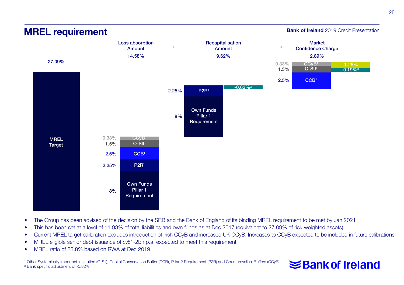

MREL requirement

#### Bank of Ireland 2019 Credit Presentation

- The Group has been advised of the decision by the SRB and the Bank of England of its binding MREL requirement to be met by Jan 2021
- This has been set at a level of 11.93% of total liabilities and own funds as at Dec 2017 (equivalent to 27.09% of risk weighted assets)
- Current MREL target calibration excludes introduction of Irish CCyB and increased UK CCyB. Increases to CCyB expected to be included in future calibrations
- MREL eligible senior debt issuance of c.€1-2bn p.a. expected to meet this requirement
- MREL ratio of 23.8% based on RWA at Dec 2019

1 Other Systemically Important Institution (O-SII), Capital Conservation Buffer (CCB), Pillar 2 Requirement (P2R) and Countercyclical Buffers (CCyB) ² Bank specific adjustment of -0.82%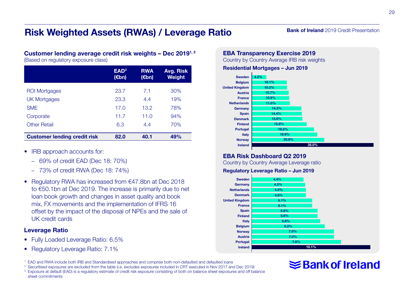### Risk Weighted Assets (RWAs) / Leverage Ratio

#### **Bank of Ireland** 2019 Credit Presentation

#### Customer lending average credit risk weights – Dec 20191, 2

(Based on regulatory exposure class)

|                                     | EAD <sup>3</sup><br>(€bn) | <b>RWA</b><br>(€bn) | Avg. Risk<br><b>Weight</b> |
|-------------------------------------|---------------------------|---------------------|----------------------------|
| ROI Mortgages                       | 23.7                      | 7.1                 | 30%                        |
| <b>UK Mortgages</b>                 | 23.3                      | 4.4                 | 19%                        |
| <b>SME</b>                          | 17.0                      | 13.2                | 78%                        |
| Corporate                           | 11.7                      | 11.0                | 94%                        |
| <b>Other Retail</b>                 | 6.3                       | 4.4                 | 70%                        |
| <b>Customer lending credit risk</b> | 82.0                      | 40.1                | 49%                        |

- IRB approach accounts for:
	- 69% of credit EAD (Dec 18: 70%)
	- 73% of credit RWA (Dec 18: 74%)
- Regulatory RWA has increased from €47.8bn at Dec 2018 to €50.1bn at Dec 2019. The increase is primarily due to net loan book growth and changes in asset quality and book mix, FX movements and the implementation of IFRS 16 offset by the impact of the disposal of NPEs and the sale of UK credit cards

#### Leverage Ratio

- Fully Loaded Leverage Ratio: 6.5%
- Regulatory Leverage Ratio: 7.1%

<sup>1</sup> EAD and RWA include both IRB and Standardised approaches and comprise both non-defaulted and defaulted loans

- <sup>2</sup> Securitised exposures are excluded from the table (i.e. excludes exposures included in CRT executed in Nov 2017 and Dec 2019)
- <sup>3</sup> Exposure at default (EAD) is a regulatory estimate of credit risk exposure consisting of both on balance sheet exposures and off balance sheet commitments

#### EBA Transparency Exercise 2019

Country by Country Average IRB risk weights

#### Residential Mortgages – Jun 2019



#### EBA Risk Dashboard Q2 2019

Country by Country Average Leverage ratio

#### Regulatory Leverage Ratio – Jun 2019

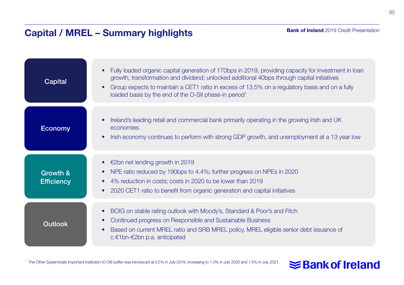# Capital / MREL – Summary highlights

| Capital                       | Fully loaded organic capital generation of 170bps in 2019, providing capacity for investment in loan<br>growth, transformation and dividend; unlocked additional 40bps through capital initiatives<br>Group expects to maintain a CET1 ratio in excess of 13.5% on a regulatory basis and on a fully<br>loaded basis by the end of the O-SII phase-in period <sup>1</sup> |
|-------------------------------|---------------------------------------------------------------------------------------------------------------------------------------------------------------------------------------------------------------------------------------------------------------------------------------------------------------------------------------------------------------------------|
| <b>Economy</b>                | Ireland's leading retail and commercial bank primarily operating in the growing Irish and UK<br>economies.<br>Irish economy continues to perform with strong GDP growth, and unemployment at a 13 year low                                                                                                                                                                |
| Growth &<br><b>Efficiency</b> | • $\epsilon$ 2bn net lending growth in 2019<br>NPE ratio reduced by 190bps to 4.4%; further progress on NPEs in 2020<br>4% reduction in costs; costs in 2020 to be lower than 2019<br>2020 CET1 ratio to benefit from organic generation and capital initiatives                                                                                                          |
| <b>Outlook</b>                | BOIG on stable rating outlook with Moody's, Standard & Poor's and Fitch<br>$\bullet$<br>Continued progress on Responsible and Sustainable Business<br>Based on current MREL ratio and SRB MREL policy, MREL eligible senior debt issuance of<br>c. $€1$ bn- $€2$ bn p.a. anticipated                                                                                      |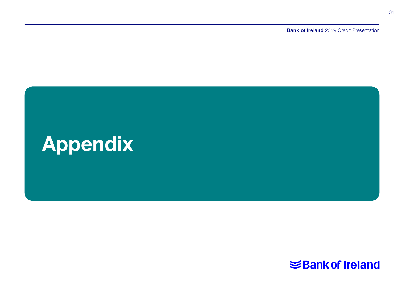**Bank of Ireland** 2019 Credit Presentation



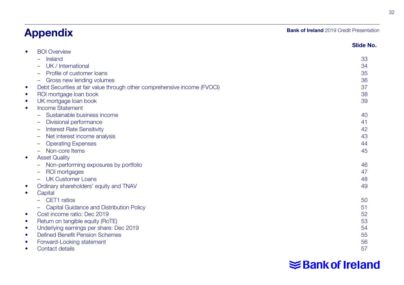# Appendix

#### **Bank of Ireland** 2019 Credit Presentation

|           |                                                                          | Slide No. |
|-----------|--------------------------------------------------------------------------|-----------|
| $\bullet$ | <b>BOI Overview</b>                                                      |           |
|           | Ireland                                                                  | 33        |
|           | UK / International                                                       | 34        |
|           | Profile of customer loans                                                | 35        |
|           | Gross new lending volumes                                                | 36        |
| $\bullet$ | Debt Securities at fair value through other comprehensive income (FVOCI) | 37        |
| $\bullet$ | ROI mortgage loan book                                                   | 38        |
| $\bullet$ | UK mortgage loan book                                                    | 39        |
| $\bullet$ | <b>Income Statement</b>                                                  |           |
|           | Sustainable business income                                              | 40        |
|           | Divisional performance                                                   | 41        |
|           | <b>Interest Rate Sensitivity</b>                                         | 42        |
|           | Net interest income analysis                                             | 43        |
|           | <b>Operating Expenses</b>                                                | 44        |
|           | Non-core Items                                                           | 45        |
| $\bullet$ | <b>Asset Quality</b>                                                     |           |
|           | Non-performing exposures by portfolio                                    | 46        |
|           | ROI mortgages                                                            | 47        |
|           | <b>UK Customer Loans</b>                                                 | 48        |
| ٠         | Ordinary shareholders' equity and TNAV                                   | 49        |
| $\bullet$ | Capital                                                                  |           |
|           | CET1 ratios                                                              | 50        |
|           | Capital Guidance and Distribution Policy                                 | 51        |
| $\bullet$ | Cost income ratio: Dec 2019                                              | 52        |
| $\bullet$ | Return on tangible equity (RoTE)                                         | 53        |
| $\bullet$ | Underlying earnings per share: Dec 2019                                  | 54        |
| $\bullet$ | <b>Defined Benefit Pension Schemes</b>                                   | 55        |
| $\bullet$ | Forward-Looking statement                                                | 56        |
| ٠         | Contact details                                                          | 57        |
|           |                                                                          |           |

# **Shank of Ireland**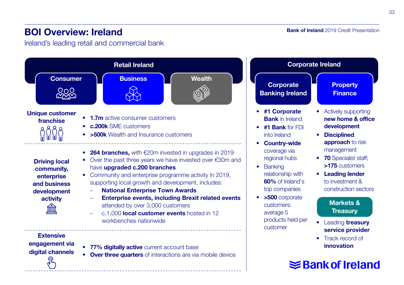### BOI Overview: Ireland

Ireland's leading retail and commercial bank



**Bank of Ireland** 2019 Credit Presentation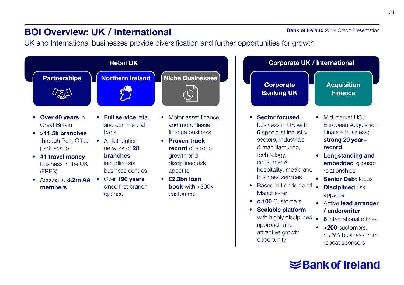### BOI Overview: UK / International

**Bank of Ireland** 2019 Credit Presentation

UK and International businesses provide diversification and further opportunities for growth

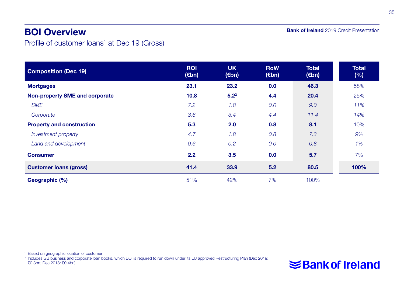### BOI Overview

**Bank of Ireland** 2019 Credit Presentation

Profile of customer loans<sup>1</sup> at Dec 19 (Gross)

| <b>Composition (Dec 19)</b>      | <b>ROI</b><br>$(\epsilon$ bn) | <b>UK</b><br>$(\epsilon$ bn) | <b>RoW</b><br>$(\epsilon$ bn) | <b>Total</b><br>$(\epsilon$ bn) | <b>Total</b><br>(%) |
|----------------------------------|-------------------------------|------------------------------|-------------------------------|---------------------------------|---------------------|
| <b>Mortgages</b>                 | 23.1                          | 23.2                         | 0.0                           | 46.3                            | 58%                 |
| Non-property SME and corporate   | 10.8                          | 5.2 <sup>2</sup>             | 4.4                           | 20.4                            | 25%                 |
| <b>SME</b>                       | 7.2                           | 1.8                          | 0.0                           | 9.0                             | 11%                 |
| Corporate                        | 3.6                           | 3.4                          | 4.4                           | 11.4                            | 14%                 |
| <b>Property and construction</b> | 5.3                           | 2.0                          | 0.8                           | 8.1                             | 10%                 |
| <b>Investment property</b>       | 4.7                           | 1.8                          | 0.8                           | 7.3                             | 9%                  |
| Land and development             | 0.6                           | 0.2                          | 0.0                           | 0.8                             | 1%                  |
| <b>Consumer</b>                  | 2.2                           | 3.5                          | 0.0                           | 5.7                             | 7%                  |
| <b>Customer loans (gross)</b>    | 41.4                          | 33.9                         | 5.2                           | 80.5                            | 100%                |
| Geographic (%)                   | 51%                           | 42%                          | 7%                            | 100%                            |                     |

<sup>1</sup> Based on geographic location of customer

2 Includes GB business and corporate loan books, which BOI is required to run down under its EU approved Restructuring Plan (Dec 2019: £0.3bn; Dec 2018: £0.4bn)

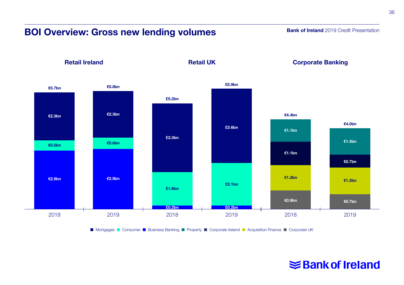### BOI Overview: Gross new lending volumes

**Bank of Ireland** 2019 Credit Presentation



■ Mortgages ■ Consumer ■ Business Banking ■ Property ■ Corporate Ireland ■ Acquisition Finance ■ Corporate UK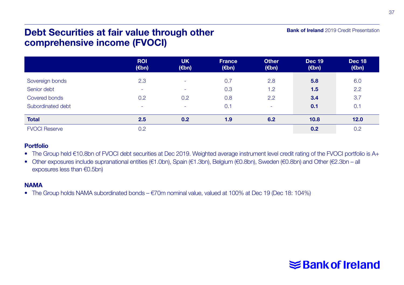### Debt Securities at fair value through other comprehensive income (FVOCI)

#### ROI (€bn) UK (€bn) France (€bn) **Other** (€bn) Dec 19 (€bn) Dec <sub>18</sub> (€bn) Sovereign bonds Senior debt Covered bonds Subordinated debt 2.3 - 0.2 - - - 0.2 - 0.7 0.3 0.8 0.1 2.8 1.2 2.2 - 5.8 1.5 3.4 0.1 6.0 2.2 3.7 0.1 Total 2.5 0.2 1.9 6.2 10.8 12.0 FVOCI Reserve  $0.2$  0.2  $0.2$

#### Portfolio

• The Group held €10.8bn of FVOCI debt securities at Dec 2019. Weighted average instrument level credit rating of the FVOCI portfolio is A+

• Other exposures include supranational entities (€1.0bn), Spain (€1.3bn), Belgium (€0.8bn), Sweden (€0.8bn) and Other (€2.3bn – all exposures less than €0.5bn)

#### **NAMA**

• The Group holds NAMA subordinated bonds –  $\epsilon$ 70m nominal value, valued at 100% at Dec 19 (Dec 18: 104%)



Bank of Ireland 2019 Credit Presentation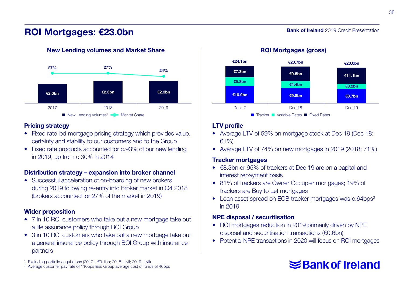### ROI Mortgages: €23.0bn



#### New Lending volumes and Market Share

#### Pricing strategy

- Fixed rate led mortgage pricing strategy which provides value, certainty and stability to our customers and to the Group
- Fixed rate products accounted for c.93% of our new lending in 2019, up from c.30% in 2014

#### Distribution strategy – expansion into broker channel

• Successful acceleration of on-boarding of new brokers during 2019 following re-entry into broker market in Q4 2018 (brokers accounted for 27% of the market in 2019)

#### Wider proposition

- 7 in 10 ROI customers who take out a new mortgage take out a life assurance policy through BOI Group
- 3 in 10 ROI customers who take out a new mortgage take out a general insurance policy through BOI Group with insurance partners

<sup>1</sup> Excluding portfolio acquisitions (2017 –  $€0.1$ bn; 2018 – Nil; 2019 – Nil)

<sup>2</sup> Average customer pay rate of 110bps less Group average cost of funds of 46bps



#### ROI Mortgages (gross)

**Bank of Ireland** 2019 Credit Presentation



#### LTV profile

- Average LTV of 59% on mortgage stock at Dec 19 (Dec 18: 61%)
- Average LTV of 74% on new mortgages in 2019 (2018: 71%)

#### Tracker mortgages

- €8.3bn or 95% of trackers at Dec 19 are on a capital and interest repayment basis
- 81% of trackers are Owner Occupier mortgages; 19% of trackers are Buy to Let mortgages
- Loan asset spread on ECB tracker mortgages was c.64bps<sup>2</sup> in 2019

#### NPE disposal / securitisation

- ROI mortgages reduction in 2019 primarily driven by NPE disposal and securitisation transactions (€0.6bn)
- Potential NPE transactions in 2020 will focus on ROI mortgages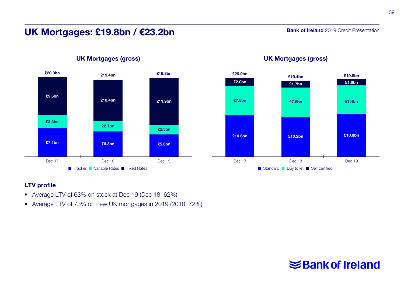### UK Mortgages: £19.8bn / €23.2bn

**Bank of Ireland** 2019 Credit Presentation



#### UK Mortgages (gross)



#### UK Mortgages (gross)

#### LTV profile

- Average LTV of 63% on stock at Dec 19 (Dec 18: 62%)
- Average LTV of 73% on new UK mortgages in 2019 (2018: 72%)

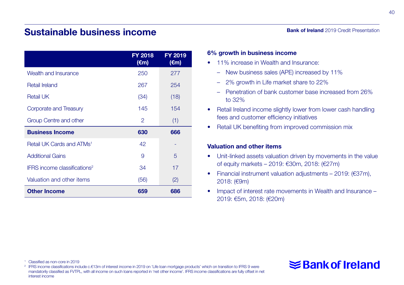### Sustainable business income

|                                          | FY 2018<br>$(\epsilon m)$ | <b>FY 2019</b><br>$(\epsilon m)$ |
|------------------------------------------|---------------------------|----------------------------------|
|                                          |                           |                                  |
| Wealth and Insurance                     | 250                       | 277                              |
| Retail Ireland                           | 267                       | 254                              |
| <b>Retail UK</b>                         | (34)                      | (18)                             |
| Corporate and Treasury                   | 145                       | 154                              |
| Group Centre and other                   | 2                         | (1)                              |
| <b>Business Income</b>                   | 630                       | 666                              |
| Retail UK Cards and ATMs <sup>1</sup>    | 42                        |                                  |
| <b>Additional Gains</b>                  | 9                         | 5                                |
| IFRS income classifications <sup>2</sup> | 34                        | 17                               |

Valuation and other items (56) (2) Other Income 659 686

Bank of Ireland 2019 Credit Presentation

#### 6% growth in business income

- 11% increase in Wealth and Insurance:
	- New business sales (APE) increased by 11%
	- 2% growth in Life market share to 22%
	- Penetration of bank customer base increased from 26% to 32%
- Retail Ireland income slightly lower from lower cash handling fees and customer efficiency initiatives
- Retail UK benefiting from improved commission mix

#### Valuation and other items

- Unit-linked assets valuation driven by movements in the value of equity markets – 2019: €30m, 2018: (€27m)
- Financial instrument valuation adjustments 2019: (€37m), 2018: (€9m)
- Impact of interest rate movements in Wealth and Insurance 2019: €5m, 2018: (€20m)

#### <sup>1</sup> Classified as non-core in 2019

<sup>2</sup> IFRS income classifications include c.€13m of interest income in 2019 on 'Life loan mortgage products' which on transition to IFRS 9 were mandatorily classified as FVTPL, with all income on such loans reported in 'net other income'. IFRS income classifications are fully offset in net interest income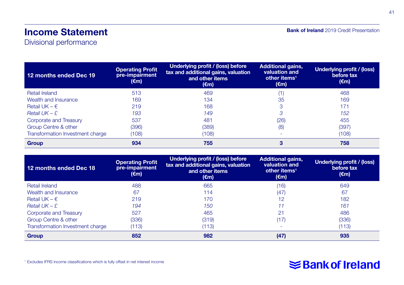### Income Statement

Divisional performance

| <b>Bank of Ireland</b> 2019 Credit Presentation |  |  |
|-------------------------------------------------|--|--|
|-------------------------------------------------|--|--|

| 12 months ended Dec 19           | <b>Operating Profit</b><br>pre-impairment<br>$(\epsilon m)$ | Underlying profit / (loss) before<br>tax and additional gains, valuation<br>and other items<br>(€m) | <b>Additional gains,</b><br>valuation and<br>other items <sup>1</sup><br>$(\epsilon m)$ | Underlying profit / (loss)<br>before tax<br>(€m) |
|----------------------------------|-------------------------------------------------------------|-----------------------------------------------------------------------------------------------------|-----------------------------------------------------------------------------------------|--------------------------------------------------|
| <b>Retail Ireland</b>            | 513                                                         | 469                                                                                                 | (1)                                                                                     | 468                                              |
| Wealth and Insurance             | 169                                                         | 134                                                                                                 | 35                                                                                      | 169                                              |
| Retail UK – $\epsilon$           | 219                                                         | 168                                                                                                 | 3                                                                                       | 171                                              |
| Retail $UK - E$                  | 193                                                         | 149                                                                                                 | 3                                                                                       | 152                                              |
| Corporate and Treasury           | 537                                                         | 481                                                                                                 | (26)                                                                                    | 455                                              |
| Group Centre & other             | (396)                                                       | (389)                                                                                               | (8)                                                                                     | (397)                                            |
| Transformation Investment charge | (108)                                                       | (108)                                                                                               | ۰                                                                                       | (108)                                            |
| <b>Group</b>                     | 934                                                         | 755                                                                                                 | 3                                                                                       | 758                                              |

| 12 months ended Dec 18           | <b>Operating Profit</b><br>pre-impairment<br>(€m) | Underlying profit / (loss) before<br>tax and additional gains, valuation<br>and other items<br>(€m) | <b>Additional gains,</b><br>valuation and<br>other items <sup>1</sup><br>(€m) | Underlying profit / (loss)<br>before tax<br>$(\epsilon m)$ |  |  |
|----------------------------------|---------------------------------------------------|-----------------------------------------------------------------------------------------------------|-------------------------------------------------------------------------------|------------------------------------------------------------|--|--|
| <b>Retail Ireland</b>            | 488                                               | 665                                                                                                 | (16)                                                                          | 649                                                        |  |  |
| Wealth and Insurance             | 67                                                | 114                                                                                                 | (47)                                                                          | 67                                                         |  |  |
| Retail UK $- \epsilon$           | 219                                               | 170                                                                                                 | 12                                                                            | 182                                                        |  |  |
| Retail $UK - E$                  | 194                                               | 150                                                                                                 |                                                                               | 161                                                        |  |  |
| Corporate and Treasury           | 527                                               | 465                                                                                                 | 21                                                                            | 486                                                        |  |  |
| Group Centre & other             | (336)                                             | (319)                                                                                               | (17)                                                                          | (336)                                                      |  |  |
| Transformation Investment charge | (113)                                             | (113)                                                                                               |                                                                               | (113)                                                      |  |  |
| <b>Group</b>                     | 852                                               | 982                                                                                                 | (47)                                                                          | 935                                                        |  |  |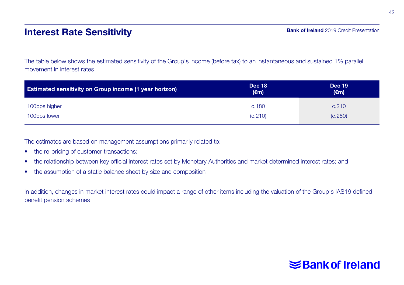### Interest Rate Sensitivity

The table below shows the estimated sensitivity of the Group's income (before tax) to an instantaneous and sustained 1% parallel movement in interest rates

| <b>Estimated sensitivity on Group income (1 year horizon)</b> | <b>Dec 18</b><br>$(\epsilon m)$ | <b>Dec 19</b><br>$(\epsilon m)$ |
|---------------------------------------------------------------|---------------------------------|---------------------------------|
| 100bps higher                                                 | c.180                           | c.210                           |
| 100bps lower                                                  | (C.210)                         | (C.250)                         |

The estimates are based on management assumptions primarily related to:

- the re-pricing of customer transactions;
- the relationship between key official interest rates set by Monetary Authorities and market determined interest rates; and
- the assumption of a static balance sheet by size and composition

In addition, changes in market interest rates could impact a range of other items including the valuation of the Group's IAS19 defined benefit pension schemes

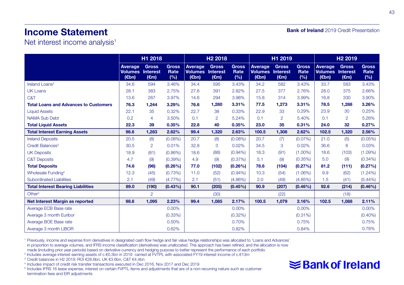### Income Statement

Bank of Ireland 2019 Credit Presentation

Net interest income analysis<sup>1</sup>

|                                              | H1 2018                                               |                                |                             | H <sub>2</sub> 2018                                   |                                | H1 2019                     |                                             |                                | H <sub>2</sub> 2019         |                                    |                                                   |                             |
|----------------------------------------------|-------------------------------------------------------|--------------------------------|-----------------------------|-------------------------------------------------------|--------------------------------|-----------------------------|---------------------------------------------|--------------------------------|-----------------------------|------------------------------------|---------------------------------------------------|-----------------------------|
|                                              | Average<br><b>Volumes Interest</b><br>$(\epsilon$ bn) | <b>Gross</b><br>$(\epsilon m)$ | <b>Gross</b><br>Rate<br>(%) | Average<br><b>Volumes</b> Interest<br>$(\epsilon$ bn) | <b>Gross</b><br>$(\epsilon m)$ | <b>Gross</b><br>Rate<br>(%) | Average<br><b>Volumes</b> Interest<br>(€bn) | <b>Gross</b><br>$(\epsilon m)$ | <b>Gross</b><br>Rate<br>(%) | Average<br><b>Volumes</b><br>(€bn) | <b>Gross</b><br><b>Interest</b><br>$(\epsilon m)$ | <b>Gross</b><br>Rate<br>(%) |
| Ireland Loans <sup>2</sup>                   | 34.6                                                  | 594                            | 3.46%                       | 34.4                                                  | 595                            | 3.43%                       | 34.2                                        | 582                            | 3.43%                       | 33.7                               | 583                                               | 3.43%                       |
| <b>UK Loans</b>                              | 28.1                                                  | 383                            | 2.75%                       | 27.6                                                  | 391                            | 2.82%                       | 27.5                                        | 377                            | 2.76%                       | 28.0                               | 375                                               | 2.66%                       |
| C&T                                          | 13.6                                                  | 267                            | 3.97%                       | 14.6                                                  | 294                            | 3.98%                       | 15.8                                        | 314                            | 3.99%                       | 16.8                               | 330                                               | 3.90%                       |
| <b>Total Loans and Advances to Customers</b> | 76.3                                                  | 1,244                          | 3.29%                       | 76.6                                                  | 1,280                          | 3.31%                       | 77.5                                        | 1,273                          | 3.31%                       | 78.5                               | 1,288                                             | 3.26%                       |
| <b>Liquid Assets</b>                         | 22.1                                                  | 35                             | 0.32%                       | 22.7                                                  | 38                             | 0.33%                       | 22.9                                        | 33                             | 0.29%                       | 23.9                               | 30                                                | 0.25%                       |
| <b>NAMA Sub Debt</b>                         | 0.2                                                   | 4                              | 3.50%                       | 0.1                                                   | $\overline{2}$                 | 5.24%                       | 0.1                                         | $\overline{2}$                 | 5.40%                       | 0.1                                | $\overline{2}$                                    | 5.26%                       |
| <b>Total Liquid Assets</b>                   | 22.3                                                  | 39                             | 0.35%                       | 22.8                                                  | 40                             | 0.35%                       | 23.0                                        | 35                             | 0.31%                       | 24.0                               | 32                                                | 0.27%                       |
| <b>Total Interest Earning Assets</b>         | 98.6                                                  | 1,283                          | 2.62%                       | 99.4                                                  | 1,320                          | 2.63%                       | 100.5                                       | 1,308                          | 2.62%                       | 102.5                              | 1,320                                             | 2.56%                       |
| <b>Ireland Deposits</b>                      | 20.5                                                  | (8)                            | $(0.08\%)$                  | 20.7                                                  | (8)                            | $(0.08\%)$                  | 20.7                                        | (7)                            | (0.07%)                     | 21.0                               | (5)                                               | $(0.05\%)$                  |
| Credit Balances <sup>3</sup>                 | 30.5                                                  | $\overline{2}$                 | 0.01%                       | 32.8                                                  | 3                              | 0.02%                       | 34.5                                        | 3                              | 0.02%                       | 36.6                               | 6                                                 | 0.03%                       |
| <b>UK Deposits</b>                           | 18.9                                                  | (81)                           | $(0.86\%)$                  | 18.6                                                  | (88)                           | $(0.94\%)$                  | 18.3                                        | (91)                           | $(1.00\%)$                  | 18.6                               | (103)                                             | $(1.09\%)$                  |
| <b>C&amp;T Deposits</b>                      | 4.7                                                   | (9)                            | $(0.39\%)$                  | 4.9                                                   | (9)                            | (0.37%)                     | 5.1                                         | (9)                            | (0.35%)                     | 5.0                                | (9)                                               | $(0.34\%)$                  |
| <b>Total Deposits</b>                        | 74.6                                                  | (96)                           | $(0.26\%)$                  | 77.0                                                  | (102)                          | $(0.26\%)$                  | 78.6                                        | (104)                          | (0.27%)                     | 81.2                               | (111)                                             | (0.27%)                     |
| <b>Wholesale Funding4</b>                    | 12.3                                                  | (45)                           | (0.73%)                     | 11.0                                                  | (52)                           | $(0.94\%)$                  | 10.3                                        | (54)                           | $(1.06\%)$                  | 9.9                                | (62)                                              | $(1.24\%)$                  |
| <b>Subordinated Liabilities</b>              | 2.1                                                   | (49)                           | $(4.77\%)$                  | 2.1                                                   | (51)                           | $(4.86\%)$                  | 2.0                                         | (49)                           | (4.85%)                     | 1.5                                | (41)                                              | $(5.44\%)$                  |
| <b>Total Interest Bearing Liabilities</b>    | 89.0                                                  | (190)                          | $(0.43\%)$                  | 90.1                                                  | (205)                          | $(0.45\%)$                  | 90.9                                        | (207)                          | $(0.46\%)$                  | 92.6                               | (214)                                             | $(0.46\%)$                  |
| Other <sup>5</sup>                           |                                                       | $\overline{2}$                 |                             |                                                       | (30)                           |                             |                                             | (22)                           |                             |                                    | (18)                                              |                             |
| Net Interest Margin as reported              | 98.6                                                  | 1,095                          | 2.23%                       | 99.4                                                  | 1,085                          | 2.17%                       | 100.5                                       | 1,079                          | 2.16%                       | 102.5                              | 1,088                                             | 2.11%                       |
| Average ECB Base rate                        |                                                       |                                | 0.00%                       |                                                       |                                | 0.00%                       |                                             |                                | 0.00%                       |                                    |                                                   | 0.00%                       |
| Average 3 month Euribor                      |                                                       |                                | $(0.33\%)$                  |                                                       |                                | (0.32%)                     |                                             |                                | $(0.31\%)$                  |                                    |                                                   | $(0.40\%)$                  |
| Average BOE Base rate                        |                                                       |                                | 0.50%                       |                                                       |                                | 0.70%                       |                                             |                                | 0.75%                       |                                    |                                                   | 0.75%                       |
| Average 3 month LIBOR                        |                                                       |                                | 0.62%                       |                                                       |                                | 0.82%                       |                                             |                                | 0.84%                       |                                    |                                                   | 0.78%                       |

<sup>1</sup> Previously, income and expense from derivatives in designated cash flow hedge and fair value hedge relationships was allocated to 'Loans and Advances' in proportion to average volumes, and IFRS income classification (derivatives) was unallocated. This approach has been refined, and the allocation is now made (including prior year periods) based on derivative currency and hedging purpose to better represent the performance of each portfolio

- 2 Includes average interest earning assets of c.€0.3bn in 2019 carried at FVTPL with associated FY19 interest income of c.€13m
- 3 Credit balances in H2 2019: ROI €28.6bn, UK €3.6bn, C&T €4.4bn
- 4 Includes impact of credit risk transfer transactions executed in Dec 2016, Nov 2017 and Dec 2019

<sup>5</sup> Includes IFRS 16 lease expense, interest on certain FVPTL items and adjustments that are of a non-recurring nature such as customer termination fees and EIR adjustments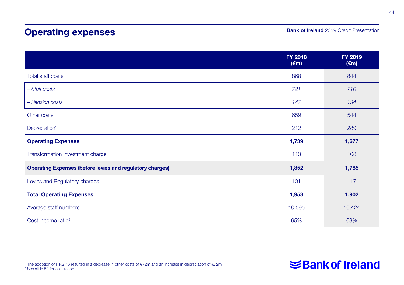## Operating expenses

#### **Bank of Ireland** 2019 Credit Presentation

|                                                                  | <b>FY 2018</b><br>$(\epsilon m)$ | FY 2019<br>$(\epsilon m)$ |
|------------------------------------------------------------------|----------------------------------|---------------------------|
| Total staff costs                                                | 868                              | 844                       |
| - Staff costs                                                    | 721                              | 710                       |
| - Pension costs                                                  | 147                              | 134                       |
| Other costs <sup>1</sup>                                         | 659                              | 544                       |
| Depreciation <sup>1</sup>                                        | 212                              | 289                       |
| <b>Operating Expenses</b>                                        | 1,739                            | 1,677                     |
| Transformation Investment charge                                 | 113                              | 108                       |
| <b>Operating Expenses (before levies and regulatory charges)</b> | 1,852                            | 1,785                     |
| Levies and Regulatory charges                                    | 101                              | 117                       |
| <b>Total Operating Expenses</b>                                  | 1,953                            | 1,902                     |
| Average staff numbers                                            | 10,595                           | 10,424                    |
| Cost income ratio <sup>2</sup>                                   | 65%                              | 63%                       |

<sup>1</sup> The adoption of IFRS 16 resulted in a decrease in other costs of €72m and an increase in depreciation of €72m <sup>2</sup> See slide 52 for calculation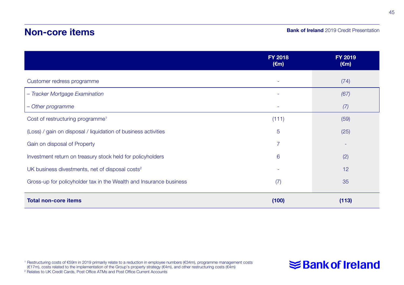### Non-core items

#### **Bank of Ireland** 2019 Credit Presentation

|                                                                    | <b>FY 2018</b><br>$(\epsilon m)$ | <b>FY 2019</b><br>$(\epsilon m)$ |
|--------------------------------------------------------------------|----------------------------------|----------------------------------|
| Customer redress programme                                         | ٠                                | (74)                             |
| - Tracker Mortgage Examination                                     | ٠                                | (67)                             |
| - Other programme                                                  | ٠                                | (7)                              |
| Cost of restructuring programme <sup>1</sup>                       | (111)                            | (59)                             |
| (Loss) / gain on disposal / liquidation of business activities     | 5                                | (25)                             |
| Gain on disposal of Property                                       | 7                                |                                  |
| Investment return on treasury stock held for policyholders         | 6                                | (2)                              |
| UK business divestments, net of disposal costs <sup>2</sup>        |                                  | 12                               |
| Gross-up for policyholder tax in the Wealth and Insurance business | (7)                              | 35                               |
| <b>Total non-core items</b>                                        | (100)                            | (113)                            |

1 Restructuring costs of €59m in 2019 primarily relate to a reduction in employee numbers (€34m), programme management costs<br>(€17m), costs related to the implementation of the Group's property strategy (€4m), and other re <sup>2</sup> Relates to UK Credit Cards, Post Office ATMs and Post Office Current Accounts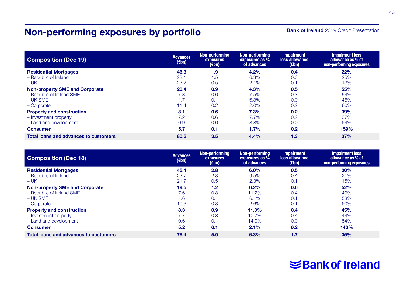# Non-performing exposures by portfolio

#### **Bank of Ireland** 2019 Credit Presentation

| <b>Composition (Dec 19)</b>                  | <b>Advances</b><br>$(\epsilon$ bn) | Non-performing<br>exposures<br>$(\epsilon$ bn) | Non-performina<br>exposures as %<br>of advances | <b>Impairment</b><br>loss allowance<br>$(\epsilon$ bn) | <b>Impairment loss</b><br>allowance as % of<br>non-performing exposures |
|----------------------------------------------|------------------------------------|------------------------------------------------|-------------------------------------------------|--------------------------------------------------------|-------------------------------------------------------------------------|
| <b>Residential Mortgages</b>                 | 46.3                               | 1.9                                            | 4.2%                                            | 0.4                                                    | 22%                                                                     |
| - Republic of Ireland                        | 23.1                               | 1.5                                            | 6.3%                                            | 0.3                                                    | 25%                                                                     |
| $-UK$                                        | 23.2                               | 0.5                                            | 2.1%                                            | 0.1                                                    | 13%                                                                     |
| <b>Non-property SME and Corporate</b>        | 20.4                               | 0.9                                            | 4.3%                                            | 0.5                                                    | 55%                                                                     |
| - Republic of Ireland SME                    | 7.3                                | 0.6                                            | 7.5%                                            | 0.3                                                    | 54%                                                                     |
| $-UK$ SME                                    | 1.7                                | 0.1                                            | 6.3%                                            | 0.0                                                    | 46%                                                                     |
| - Corporate                                  | 11.4                               | 0.2                                            | 2.0%                                            | 0.2                                                    | 60%                                                                     |
| <b>Property and construction</b>             | 8.1                                | 0.6                                            | 7.3%                                            | 0.2                                                    | 39%                                                                     |
| - Investment property                        | 7.2                                | 0.6                                            | 7.7%                                            | 0.2                                                    | 37%                                                                     |
| - Land and development                       | 0.9                                | 0.0                                            | 3.8%                                            | 0.0                                                    | 64%                                                                     |
| <b>Consumer</b>                              | 5.7                                | 0.1                                            | 1.7%                                            | 0.2                                                    | 159%                                                                    |
| <b>Total loans and advances to customers</b> | 80.5                               | 3.5                                            | 4.4%                                            | 1.3                                                    | 37%                                                                     |

| <b>Composition (Dec 18)</b>           | <b>Advances</b><br>$(\epsilon$ bn) | Non-performing<br>exposures<br>$(\epsilon$ bn) | Non-performing<br>exposures as %<br>of advances | <b>Impairment</b><br>loss allowance<br>$(\epsilon$ bn) | <b>Impairment loss</b><br>allowance as % of<br>non-performing exposures |
|---------------------------------------|------------------------------------|------------------------------------------------|-------------------------------------------------|--------------------------------------------------------|-------------------------------------------------------------------------|
| <b>Residential Mortgages</b>          | 45.4                               | 2.8                                            | 6.0%                                            | 0.5                                                    | 20%                                                                     |
| - Republic of Ireland                 | 23.7                               | 2.3                                            | 9.5%                                            | 0.4                                                    | 21%                                                                     |
| $-UK$                                 | 21.7                               | 0.5                                            | 2.3%                                            | 0.1                                                    | 15%                                                                     |
| <b>Non-property SME and Corporate</b> | 19.5                               | 1.2                                            | 6.2%                                            | 0.6                                                    | 52%                                                                     |
| - Republic of Ireland SME             | 7.6                                | 0.8                                            | 11.2%                                           | 0.4                                                    | 49%                                                                     |
| $-UK SME$                             | 1.6                                | 0.1                                            | 6.1%                                            | 0.1                                                    | 53%                                                                     |
| - Corporate                           | 10.3                               | 0.3                                            | 2.6%                                            | 0.1                                                    | 60%                                                                     |
| <b>Property and construction</b>      | 8.3                                | 0.9                                            | 11.0%                                           | 0.4                                                    | 45%                                                                     |
| - Investment property                 | 7.7                                | 0.8                                            | 10.7%                                           | 0.4                                                    | 44%                                                                     |
| - Land and development                | 0.6                                | 0.1                                            | 14.0%                                           | 0.0                                                    | 54%                                                                     |
| <b>Consumer</b>                       | 5.2                                | 0.1                                            | 2.1%                                            | 0.2                                                    | 140%                                                                    |
| Total loans and advances to customers | 78.4                               | 5.0                                            | 6.3%                                            | 1.7                                                    | 35%                                                                     |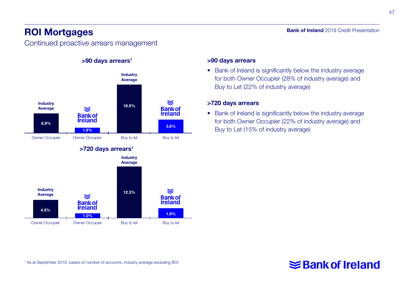### ROI Mortgages

Continued proactive arrears management

>90 days arrears<sup>1</sup>

#### Industry Average ≋ Industry 16.5% Average **Bank of** ≋ **Ireland Bank of**<br>**Ireland** 6.9% **1.9% 3.6%** Owner Occupier Cowner Occupier Buy to let Buy to let >720 days arrears<sup>1</sup> Industry **Average Industry** ≋ 12.3% **Average** ≋ **Bank of**<br>**Ireland Bank of Ireland** 4.5% 1.0% 1.9% Owner Occupier Commer Occupier Buy to let Buy to let

#### >90 days arrears

• Bank of Ireland is significantly below the industry average for both Owner Occupier (28% of industry average) and Buy to Let (22% of industry average)

#### >720 days arrears

• Bank of Ireland is significantly below the industry average for both Owner Occupier (22% of industry average) and Buy to Let (15% of industry average)

### Bank of Ireland 2019 Credit Presentation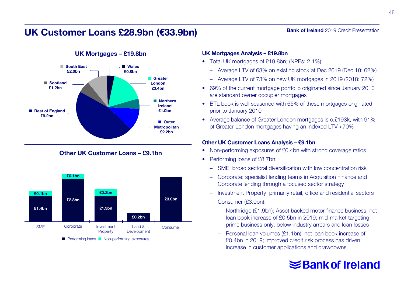### UK Customer Loans £28.9bn (€33.9bn)



#### UK Mortgages – £19.8bn

#### Other UK Customer Loans – £9.1bn



#### UK Mortgages Analysis – £19.8bn

- Total UK mortgages of £19.8bn; (NPEs: 2.1%):
	- Average LTV of 63% on existing stock at Dec 2019 (Dec 18: 62%)

**Bank of Ireland** 2019 Credit Presentation

- Average LTV of 73% on new UK mortgages in 2019 (2018: 72%)
- 69% of the current mortgage portfolio originated since January 2010 are standard owner occupier mortgages
- BTL book is well seasoned with 65% of these mortgages originated prior to January 2010
- Average balance of Greater London mortgages is c.£193k, with 91% of Greater London mortgages having an indexed LTV <70%

#### Other UK Customer Loans Analysis – £9.1bn

- Non-performing exposures of £0.4bn with strong coverage ratios
- Performing loans of £8.7bn:
	- SME: broad sectoral diversification with low concentration risk
	- Corporate: specialist lending teams in Acquisition Finance and Corporate lending through a focused sector strategy
	- Investment Property: primarily retail, office and residential sectors
	- Consumer (£3.0bn):
		- Northridge (£1.9bn): Asset backed motor finance business; net loan book increase of £0.5bn in 2019; mid-market targeting prime business only; below industry arrears and loan losses
		- Personal loan volumes (£1.1bn): net loan book increase of £0.4bn in 2019; improved credit risk process has driven increase in customer applications and drawdowns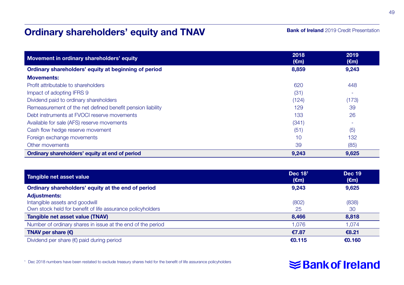### Ordinary shareholders' equity and TNAV

#### **Bank of Ireland** 2019 Credit Presentation

| Movement in ordinary shareholders' equity                  | 2018<br>$(\epsilon m)$ | 2019<br>$(\epsilon m)$ |
|------------------------------------------------------------|------------------------|------------------------|
| Ordinary shareholders' equity at beginning of period       | 8,859                  | 9,243                  |
| <b>Movements:</b>                                          |                        |                        |
| Profit attributable to shareholders                        | 620                    | 448                    |
| Impact of adopting IFRS 9                                  | (31)                   |                        |
| Dividend paid to ordinary shareholders                     | (124)                  | (173)                  |
| Remeasurement of the net defined benefit pension liability | 129                    | 39                     |
| Debt instruments at FVOCI reserve movements                | 133                    | 26                     |
| Available for sale (AFS) reserve movements                 | (341)                  |                        |
| Cash flow hedge reserve movement                           | (51)                   | (5)                    |
| Foreign exchange movements                                 | 10                     | 132                    |
| Other movements                                            | 39                     | (85)                   |
| Ordinary shareholders' equity at end of period             | 9,243                  | 9.625                  |

| Tangible net asset value                                                                                            | Dec 18 <sup>1</sup><br>$(\epsilon m)$ | <b>Dec 19</b><br>$(\epsilon m)$ |
|---------------------------------------------------------------------------------------------------------------------|---------------------------------------|---------------------------------|
| Ordinary shareholders' equity at the end of period                                                                  | 9,243                                 | 9,625                           |
| <b>Adjustments:</b><br>Intangible assets and goodwill<br>Own stock held for benefit of life assurance policyholders | (802)<br>25                           | (838)<br>-30                    |
| Tangible net asset value (TNAV)                                                                                     | 8.466                                 | 8,818                           |
| Number of ordinary shares in issue at the end of the period                                                         | 1.076                                 | 1.074                           |
| TNAV per share $(\epsilon)$                                                                                         | €7.87                                 | €8.21                           |
| Dividend per share $(\epsilon)$ paid during period                                                                  | €0.115                                | €0.160                          |

<sup>1</sup> Dec 2018 numbers have been restated to exclude treasury shares held for the benefit of life assurance policyholders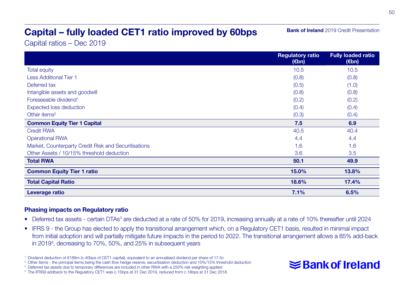# Capital – fully loaded CET1 ratio improved by 60bps

**Bank of Ireland** 2019 Credit Presentation

Capital ratios – Dec 2019

|                                                      | <b>Regulatory ratio</b><br>$(\epsilon$ bn) | <b>Fully loaded ratio</b><br>(€bn) |
|------------------------------------------------------|--------------------------------------------|------------------------------------|
| <b>Total equity</b>                                  | 10.5                                       | 10.5                               |
| <b>Less Additional Tier 1</b>                        | (0.8)                                      | (0.8)                              |
| Deferred tax                                         | (0.5)                                      | (1.0)                              |
| Intangible assets and goodwill                       | (0.8)                                      | (0.8)                              |
| Foreseeable dividend <sup>1</sup>                    | (0.2)                                      | (0.2)                              |
| <b>Expected loss deduction</b>                       | (0.4)                                      | (0.4)                              |
| Other items <sup>2</sup>                             | (0.3)                                      | (0.4)                              |
| <b>Common Equity Tier 1 Capital</b>                  | 7.5                                        | 6.9                                |
| <b>Credit RWA</b>                                    | 40.5                                       | 40.4                               |
| <b>Operational RWA</b>                               | 4.4                                        | 4.4                                |
| Market, Counterparty Credit Risk and Securitisations | 1.6                                        | 1.6                                |
| Other Assets / 10/15% threshold deduction            | 3.6                                        | 3.5                                |
| <b>Total RWA</b>                                     | 50.1                                       | 49.9                               |
| <b>Common Equity Tier 1 ratio</b>                    | 15.0%                                      | 13.8%                              |
| <b>Total Capital Ratio</b>                           | 18.6%                                      | 17.4%                              |
| Leverage ratio                                       | 7.1%                                       | 6.5%                               |

#### Phasing impacts on Regulatory ratio

- Deferred tax assets certain DTAs<sup>3</sup> are deducted at a rate of 50% for 2019, increasing annually at a rate of 10% thereafter until 2024
- IFRS 9 the Group has elected to apply the transitional arrangement which, on a Regulatory CET1 basis, resulted in minimal impact from initial adoption and will partially mitigate future impacts in the period to 2022. The transitional arrangement allows a 85% add-back in 20194 , decreasing to 70%, 50%, and 25% in subsequent years

<sup>1</sup> Dividend deduction of €189m (c.40bps of CET1 capital), equivalent to an annualised dividend per share of 17.5c

<sup>&</sup>lt;sup>2</sup> Other items - the principal items being the cash flow hedge reserve, securitisation deduction and 10%/15% threshold deduction

<sup>&</sup>lt;sup>3</sup> Deferred tax assets due to temporary differences are included in other RWA with a 250% risk weighting applied

<sup>4</sup> The IFRS9 addback to the Regulatory CET1 was c.15bps at 31 Dec 2019, reduced from c.18bps at 31 Dec 2018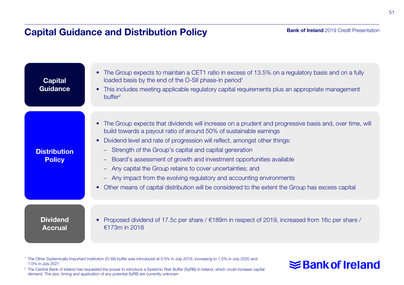### Capital Guidance and Distribution Policy

#### **Bank of Ireland** 2019 Credit Presentation

| <b>Capital</b><br>Guidance           | The Group expects to maintain a CET1 ratio in excess of 13.5% on a regulatory basis and on a fully<br>loaded basis by the end of the O-SII phase-in period <sup>1</sup><br>This includes meeting applicable regulatory capital requirements plus an appropriate management<br>$\bullet$<br>buffer <sup>2</sup>                                                                                                                                                                                                                                                                                                                                                                                                     |
|--------------------------------------|--------------------------------------------------------------------------------------------------------------------------------------------------------------------------------------------------------------------------------------------------------------------------------------------------------------------------------------------------------------------------------------------------------------------------------------------------------------------------------------------------------------------------------------------------------------------------------------------------------------------------------------------------------------------------------------------------------------------|
| <b>Distribution</b><br><b>Policy</b> | The Group expects that dividends will increase on a prudent and progressive basis and, over time, will<br>$\bullet$<br>build towards a payout ratio of around 50% of sustainable earnings<br>Dividend level and rate of progression will reflect, amongst other things:<br>$\bullet$<br>- Strength of the Group's capital and capital generation<br>Board's assessment of growth and investment opportunities available<br>$-$<br>Any capital the Group retains to cover uncertainties; and<br>$\overline{\phantom{a}}$<br>- Any impact from the evolving regulatory and accounting environments<br>Other means of capital distribution will be considered to the extent the Group has excess capital<br>$\bullet$ |
| <b>Dividend</b><br><b>Accrual</b>    | Proposed dividend of 17.5c per share / $\epsilon$ 189m in respect of 2019, increased from 16c per share /<br>$£173m$ in 2018                                                                                                                                                                                                                                                                                                                                                                                                                                                                                                                                                                                       |

<sup>1</sup> The Other Systemically Important Institution (O-SII) buffer was introduced at 0.5% in July 2019, increasing to 1.0% in July 2020 and 1.5% in July 2021

<sup>2</sup> The Central Bank of Ireland has requested the power to introduce a Systemic Risk Buffer (SyRB) in Ireland, which could increase capital demand. The size, timing and application of any potential SyRB are currently unknown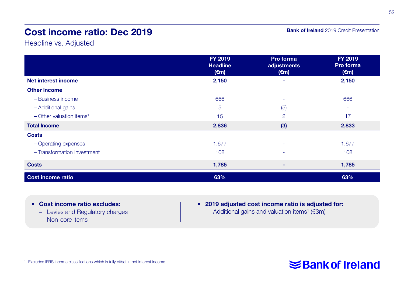### Cost income ratio: Dec 2019

**Bank of Ireland** 2019 Credit Presentation

Headline vs. Adjusted

|                                        | FY 2019<br><b>Headline</b><br>$(\epsilon m)$ | Pro forma<br>adjustments<br>$(\epsilon m)$ | FY 2019<br>Pro forma<br>$(\epsilon m)$ |
|----------------------------------------|----------------------------------------------|--------------------------------------------|----------------------------------------|
| Net interest income                    | 2,150                                        | $\overline{\phantom{a}}$                   | 2,150                                  |
| <b>Other income</b>                    |                                              |                                            |                                        |
| - Business income                      | 666                                          | ۰                                          | 666                                    |
| - Additional gains                     | 5                                            | (5)                                        | ۰                                      |
| $-$ Other valuation items <sup>1</sup> | 15                                           | $\overline{2}$                             | 17                                     |
| <b>Total Income</b>                    | 2,836                                        | (3)                                        | 2,833                                  |
| <b>Costs</b>                           |                                              |                                            |                                        |
| - Operating expenses                   | 1,677                                        | ۰                                          | 1,677                                  |
| - Transformation Investment            | 108                                          | ٠                                          | 108                                    |
| <b>Costs</b>                           | 1,785                                        | ۰                                          | 1,785                                  |
| <b>Cost income ratio</b>               | 63%                                          |                                            | 63%                                    |

- Cost income ratio excludes:
	- Levies and Regulatory charges
	- Non-core items
- 2019 adjusted cost income ratio is adjusted for:
	- $-$  Additional gains and valuation items<sup>1</sup> ( $\epsilon$ 3m)

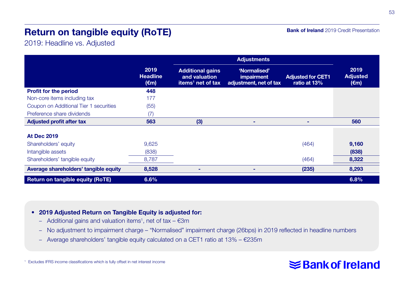# Return on tangible equity (RoTE)

2019: Headline vs. Adjusted

|                                         |                                           | <b>Adjustments</b>                                                        |                                                      |                                          |                                           |
|-----------------------------------------|-------------------------------------------|---------------------------------------------------------------------------|------------------------------------------------------|------------------------------------------|-------------------------------------------|
|                                         | 2019<br><b>Headline</b><br>$(\epsilon m)$ | <b>Additional gains</b><br>and valuation<br>items <sup>1</sup> net of tax | 'Normalised'<br>impairment<br>adjustment, net of tax | <b>Adjusted for CET1</b><br>ratio at 13% | 2019<br><b>Adjusted</b><br>$(\epsilon m)$ |
| <b>Profit for the period</b>            | 448                                       |                                                                           |                                                      |                                          |                                           |
| Non-core items including tax            | 177                                       |                                                                           |                                                      |                                          |                                           |
| Coupon on Additional Tier 1 securities  | (55)                                      |                                                                           |                                                      |                                          |                                           |
| Preference share dividends              | (7)                                       |                                                                           |                                                      |                                          |                                           |
| <b>Adjusted profit after tax</b>        | 563                                       | (3)                                                                       | -                                                    | -                                        | 560                                       |
|                                         |                                           |                                                                           |                                                      |                                          |                                           |
| <b>At Dec 2019</b>                      |                                           |                                                                           |                                                      |                                          |                                           |
| Shareholders' equity                    | 9.625                                     |                                                                           |                                                      | (464)                                    | 9,160                                     |
| Intangible assets                       | (838)                                     |                                                                           |                                                      |                                          | (838)                                     |
| Shareholders' tangible equity           | 8,787                                     |                                                                           |                                                      | (464)                                    | 8,322                                     |
| Average shareholders' tangible equity   | 8,528                                     |                                                                           | ۰                                                    | (235)                                    | 8,293                                     |
| <b>Return on tangible equity (RoTE)</b> | 6.6%                                      |                                                                           |                                                      |                                          | 6.8%                                      |

#### • 2019 Adjusted Return on Tangible Equity is adjusted for:

- Additional gains and valuation items<sup>1</sup>, net of tax  $\epsilon$ 3m
- No adjustment to impairment charge "Normalised" impairment charge (26bps) in 2019 reflected in headline numbers
- Average shareholders' tangible equity calculated on a CET1 ratio at 13% €235m

#### <sup>1</sup> Excludes IFRS income classifications which is fully offset in net interest income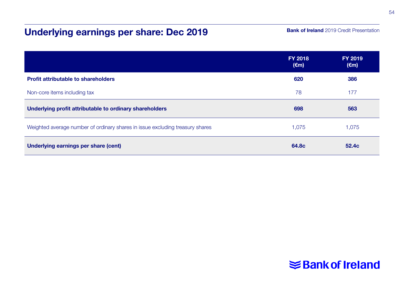# Underlying earnings per share: Dec 2019

#### **Bank of Ireland** 2019 Credit Presentation

|                                                                               | <b>FY 2018</b><br>$(\epsilon m)$ | <b>FY 2019</b><br>$(\epsilon m)$ |
|-------------------------------------------------------------------------------|----------------------------------|----------------------------------|
| <b>Profit attributable to shareholders</b>                                    | 620                              | 386                              |
| Non-core items including tax                                                  | 78                               | 177                              |
| Underlying profit attributable to ordinary shareholders                       | 698                              | 563                              |
| Weighted average number of ordinary shares in issue excluding treasury shares | 1.075                            | 1.075                            |
| Underlying earnings per share (cent)                                          | 64.8c                            | 52.4c                            |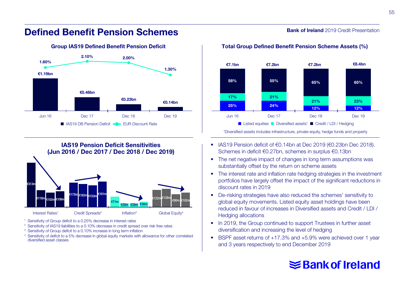#### 55

### Defined Benefit Pension Schemes



IAS19 Pension Deficit Sensitivities (Jun 2016 / Dec 2017 / Dec 2018 / Dec 2019) Interest Rates<sup>1</sup> Credit Spreads<sup>2</sup> Inflation<sup>3</sup> Global Equity<sup>4</sup> €313m €118m €102m €109m €173m €162m €153m €181m €71m €28m €28m €38m  $\overline{\epsilon}$ 122m $\overline{\epsilon}$ 128m $\overline{\epsilon}$ 90m

<sup>1</sup> Sensitivity of Group deficit to a 0.25% decrease in interest rates

<sup>2</sup> Sensitivity of IAS19 liabilities to a 0.10% decrease in credit spread over risk free rates

<sup>3</sup> Sensitivity of Group deficit to a 0.10% increase in long term inflation

<sup>4</sup> Sensitivity of deficit to a 5% decrease in global equity markets with allowance for other correlated diversified asset classes

#### **Bank of Ireland** 2019 Credit Presentation



#### Group IAS19 Defined Benefit Pension Deficit The Total Group Defined Benefit Pension Scheme Assets (%)

1 Diversified assets includes infrastructure, private equity, hedge funds and property

- IAS19 Pension deficit of €0.14bn at Dec 2019 (€0.23bn Dec 2018). Schemes in deficit €0.27bn, schemes in surplus €0.13bn
- The net negative impact of changes in long term assumptions was substantially offset by the return on scheme assets
- The interest rate and inflation rate hedging strategies in the investment portfolios have largely offset the impact of the significant reductions in discount rates in 2019
- De-risking strategies have also reduced the schemes' sensitivity to global equity movements. Listed equity asset holdings have been reduced in favour of increases in Diversified assets and Credit / LDI / Hedging allocations
- In 2019, the Group continued to support Trustees in further asset diversification and increasing the level of hedging
- BSPF asset returns of +17.3% and +5.9% were achieved over 1 year and 3 years respectively to end December 2019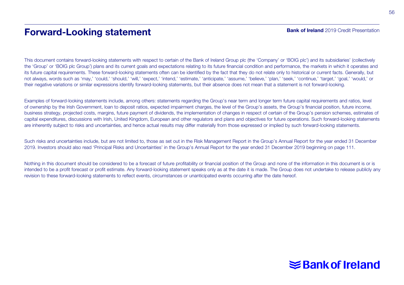### Forward-Looking statement

This document contains forward-looking statements with respect to certain of the Bank of Ireland Group plc (the 'Company' or 'BOIG plc') and its subsidiaries' (collectively the 'Group' or 'BOIG plc Group') plans and its current goals and expectations relating to its future financial condition and performance, the markets in which it operates and its future capital requirements. These forward-looking statements often can be identified by the fact that they do not relate only to historical or current facts. Generally, but not always, words such as 'may,' 'could,' 'should,' 'will,' 'expect,' 'intend,' 'estimate,' 'anticipate,' 'assume,' 'believe,' 'plan,' 'seek,' 'continue,' 'target,' 'goal,' 'would,' or their negative variations or similar expressions identify forward-looking statements, but their absence does not mean that a statement is not forward-looking.

Examples of forward-looking statements include, among others: statements regarding the Group's near term and longer term future capital requirements and ratios, level of ownership by the Irish Government, loan to deposit ratios, expected impairment charges, the level of the Group's assets, the Group's financial position, future income, business strategy, projected costs, margins, future payment of dividends, the implementation of changes in respect of certain of the Group's pension schemes, estimates of capital expenditures, discussions with Irish, United Kingdom, European and other regulators and plans and objectives for future operations. Such forward-looking statements are inherently subject to risks and uncertainties, and hence actual results may differ materially from those expressed or implied by such forward-looking statements.

Such risks and uncertainties include, but are not limited to, those as set out in the Risk Management Report in the Group's Annual Report for the year ended 31 December 2019. Investors should also read 'Principal Risks and Uncertainties' in the Group's Annual Report for the year ended 31 December 2019 beginning on page 111.

Nothing in this document should be considered to be a forecast of future profitability or financial position of the Group and none of the information in this document is or is intended to be a profit forecast or profit estimate. Any forward-looking statement speaks only as at the date it is made. The Group does not undertake to release publicly any revision to these forward-looking statements to reflect events, circumstances or unanticipated events occurring after the date hereof.